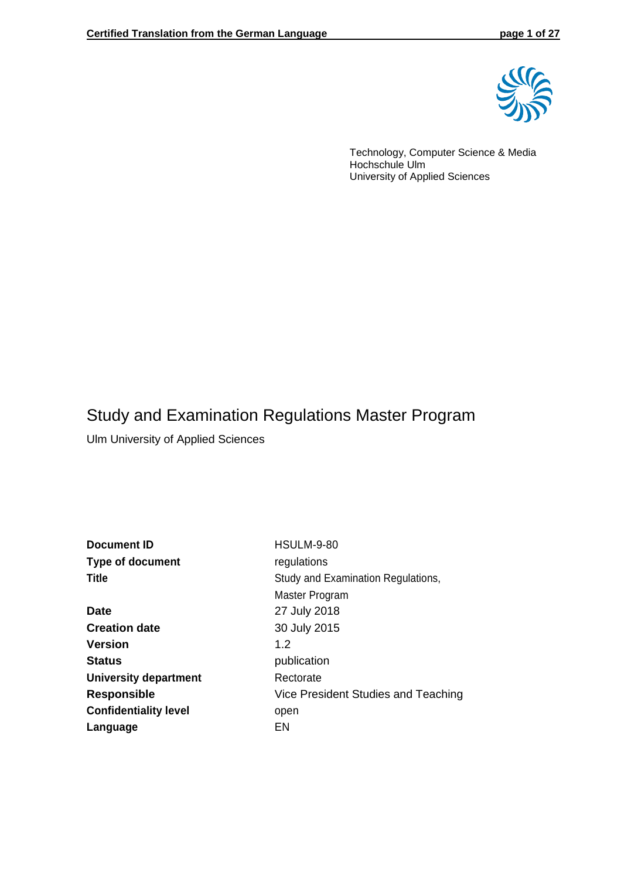

Technology, Computer Science & Media Hochschule Ulm University of Applied Sciences

# Study and Examination Regulations Master Program

Ulm University of Applied Sciences

Language EN

| <b>HSULM-9-80</b>                   |
|-------------------------------------|
| regulations                         |
| Study and Examination Regulations,  |
| Master Program                      |
| 27 July 2018                        |
| 30 July 2015                        |
| 1.2                                 |
| publication                         |
| Rectorate                           |
| Vice President Studies and Teaching |
| open                                |
|                                     |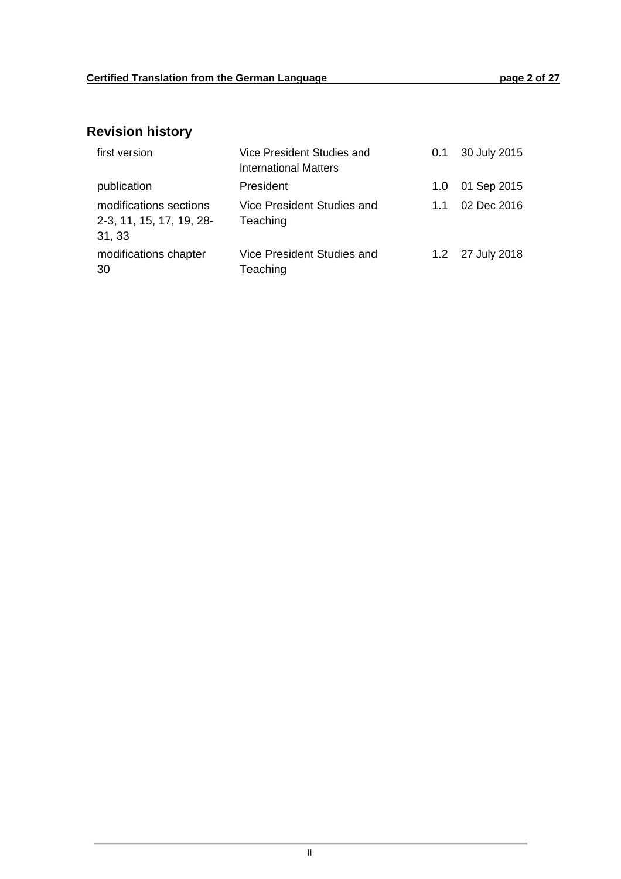# **Revision history**

| first version                                                | Vice President Studies and<br><b>International Matters</b> | 0.1 | 30 July 2015     |
|--------------------------------------------------------------|------------------------------------------------------------|-----|------------------|
| publication                                                  | President                                                  | 1.0 | 01 Sep 2015      |
| modifications sections<br>2-3, 11, 15, 17, 19, 28-<br>31, 33 | Vice President Studies and<br>Teaching                     | 1.1 | 02 Dec 2016      |
| modifications chapter<br>30                                  | Vice President Studies and<br>Teaching                     |     | 1.2 27 July 2018 |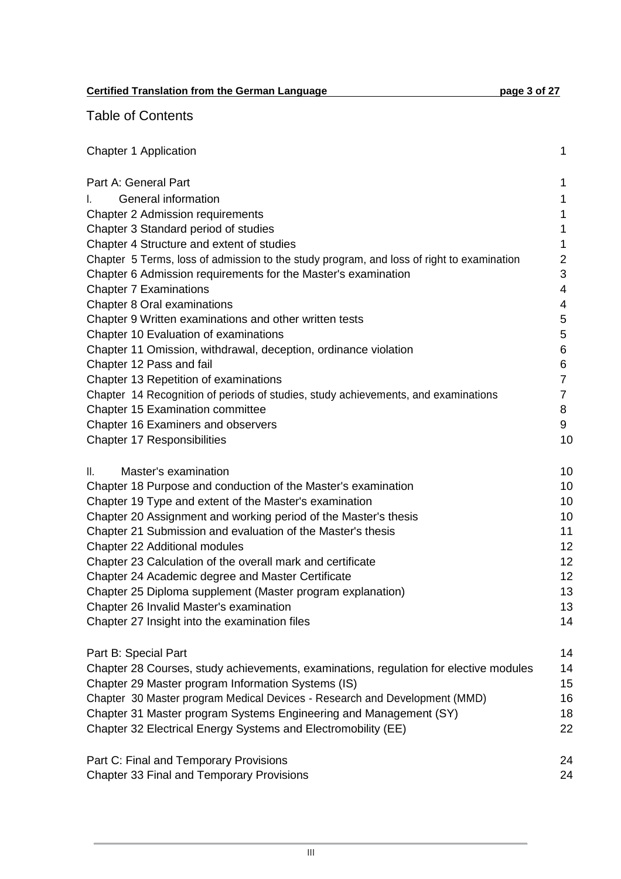**Certified Translation from the German Language page 3 of 27** 

Table of Contents

| <b>Chapter 1 Application</b>                                                              | 1              |
|-------------------------------------------------------------------------------------------|----------------|
| Part A: General Part                                                                      | 1              |
| General information<br>I.                                                                 | 1              |
| <b>Chapter 2 Admission requirements</b>                                                   | 1              |
| Chapter 3 Standard period of studies                                                      | 1              |
| Chapter 4 Structure and extent of studies                                                 | 1              |
| Chapter 5 Terms, loss of admission to the study program, and loss of right to examination | $\overline{2}$ |
| Chapter 6 Admission requirements for the Master's examination                             | 3              |
| <b>Chapter 7 Examinations</b>                                                             | 4              |
| Chapter 8 Oral examinations                                                               | 4              |
| Chapter 9 Written examinations and other written tests                                    | 5              |
| Chapter 10 Evaluation of examinations                                                     | 5              |
| Chapter 11 Omission, withdrawal, deception, ordinance violation                           | 6              |
| Chapter 12 Pass and fail                                                                  | 6              |
| Chapter 13 Repetition of examinations                                                     | $\overline{7}$ |
| Chapter 14 Recognition of periods of studies, study achievements, and examinations        | $\overline{7}$ |
| <b>Chapter 15 Examination committee</b>                                                   | 8              |
| Chapter 16 Examiners and observers                                                        | 9              |
| <b>Chapter 17 Responsibilities</b>                                                        | 10             |
| Master's examination<br>Ⅱ.                                                                | 10             |
| Chapter 18 Purpose and conduction of the Master's examination                             | 10             |
| Chapter 19 Type and extent of the Master's examination                                    | 10             |
| Chapter 20 Assignment and working period of the Master's thesis                           | 10             |
| Chapter 21 Submission and evaluation of the Master's thesis                               | 11             |
| Chapter 22 Additional modules                                                             | 12             |
| Chapter 23 Calculation of the overall mark and certificate                                | 12             |
| Chapter 24 Academic degree and Master Certificate                                         | 12             |
| Chapter 25 Diploma supplement (Master program explanation)                                | 13             |
| Chapter 26 Invalid Master's examination                                                   | 13             |
| Chapter 27 Insight into the examination files                                             | 14             |
| Part B: Special Part                                                                      | 14             |
| Chapter 28 Courses, study achievements, examinations, regulation for elective modules     | 14             |
| Chapter 29 Master program Information Systems (IS)                                        | 15             |
| Chapter 30 Master program Medical Devices - Research and Development (MMD)                | 16             |
| Chapter 31 Master program Systems Engineering and Management (SY)                         | 18             |
| Chapter 32 Electrical Energy Systems and Electromobility (EE)                             | 22             |
| Part C: Final and Temporary Provisions                                                    | 24             |
| <b>Chapter 33 Final and Temporary Provisions</b>                                          | 24             |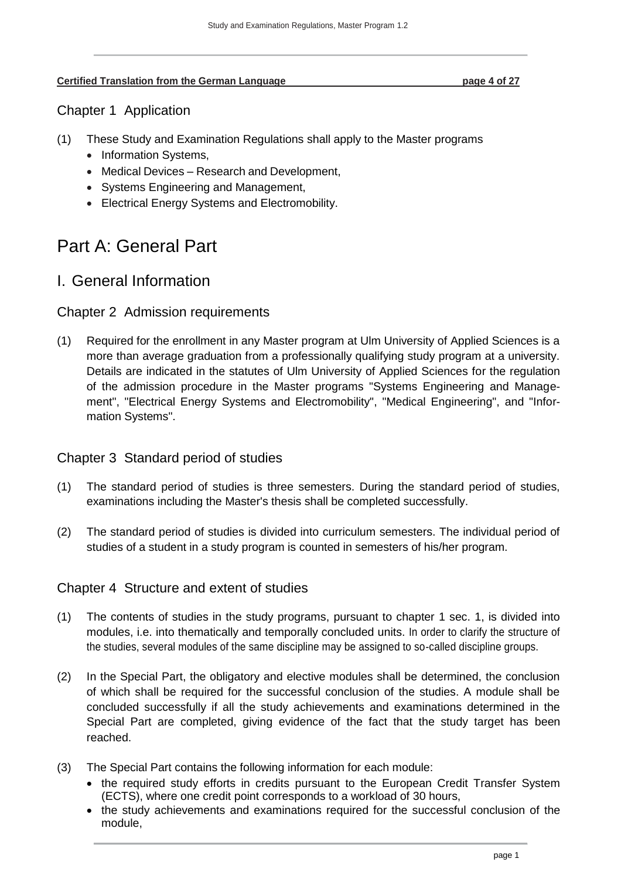#### **Certified Translation from the German Language page 4 of 27**

### <span id="page-3-0"></span>Chapter 1 Application

- (1) These Study and Examination Regulations shall apply to the Master programs
	- Information Systems,
	- Medical Devices Research and Development,
	- Systems Engineering and Management,
	- Electrical Energy Systems and Electromobility.

# <span id="page-3-1"></span>Part A: General Part

# <span id="page-3-2"></span>I. General Information

### <span id="page-3-3"></span>Chapter 2 Admission requirements

(1) Required for the enrollment in any Master program at Ulm University of Applied Sciences is a more than average graduation from a professionally qualifying study program at a university. Details are indicated in the statutes of Ulm University of Applied Sciences for the regulation of the admission procedure in the Master programs "Systems Engineering and Management", "Electrical Energy Systems and Electromobility", "Medical Engineering", and "Information Systems".

# <span id="page-3-4"></span>Chapter 3 Standard period of studies

- (1) The standard period of studies is three semesters. During the standard period of studies, examinations including the Master's thesis shall be completed successfully.
- (2) The standard period of studies is divided into curriculum semesters. The individual period of studies of a student in a study program is counted in semesters of his/her program.

### <span id="page-3-5"></span>Chapter 4 Structure and extent of studies

- (1) The contents of studies in the study programs, pursuant to chapter 1 sec. 1, is divided into modules, i.e. into thematically and temporally concluded units. In order to clarify the structure of the studies, several modules of the same discipline may be assigned to so-called discipline groups.
- (2) In the Special Part, the obligatory and elective modules shall be determined, the conclusion of which shall be required for the successful conclusion of the studies. A module shall be concluded successfully if all the study achievements and examinations determined in the Special Part are completed, giving evidence of the fact that the study target has been reached.
- (3) The Special Part contains the following information for each module:
	- the required study efforts in credits pursuant to the European Credit Transfer System (ECTS), where one credit point corresponds to a workload of 30 hours,
	- the study achievements and examinations required for the successful conclusion of the module,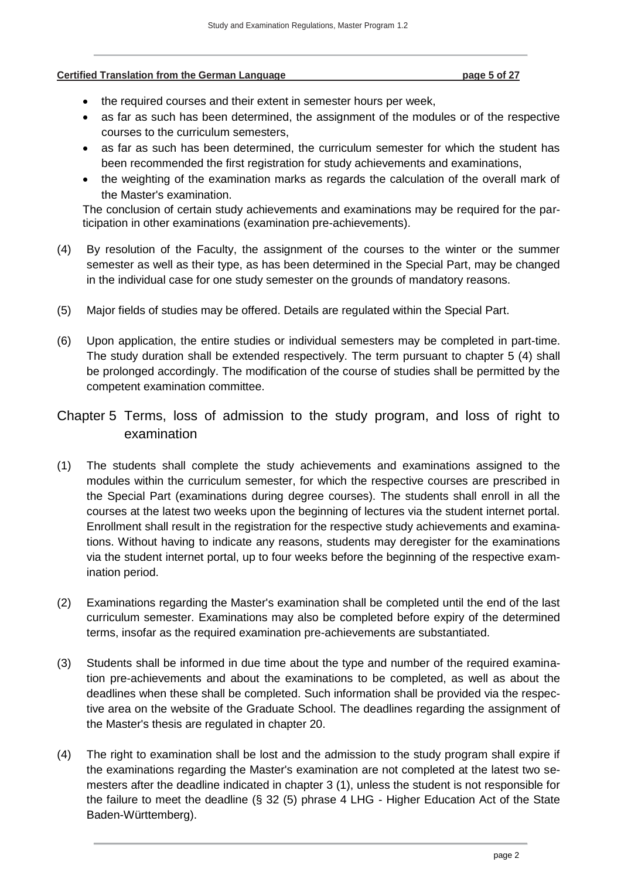#### **Certified Translation from the German Language page 5 of 27**

- the required courses and their extent in semester hours per week,
- as far as such has been determined, the assignment of the modules or of the respective courses to the curriculum semesters,
- as far as such has been determined, the curriculum semester for which the student has been recommended the first registration for study achievements and examinations,
- the weighting of the examination marks as regards the calculation of the overall mark of the Master's examination.

The conclusion of certain study achievements and examinations may be required for the participation in other examinations (examination pre-achievements).

- (4) By resolution of the Faculty, the assignment of the courses to the winter or the summer semester as well as their type, as has been determined in the Special Part, may be changed in the individual case for one study semester on the grounds of mandatory reasons.
- (5) Major fields of studies may be offered. Details are regulated within the Special Part.
- (6) Upon application, the entire studies or individual semesters may be completed in part-time. The study duration shall be extended respectively. The term pursuant to chapter 5 (4) shall be prolonged accordingly. The modification of the course of studies shall be permitted by the competent examination committee.
- <span id="page-4-0"></span>Chapter 5 Terms, loss of admission to the study program, and loss of right to examination
- (1) The students shall complete the study achievements and examinations assigned to the modules within the curriculum semester, for which the respective courses are prescribed in the Special Part (examinations during degree courses). The students shall enroll in all the courses at the latest two weeks upon the beginning of lectures via the student internet portal. Enrollment shall result in the registration for the respective study achievements and examinations. Without having to indicate any reasons, students may deregister for the examinations via the student internet portal, up to four weeks before the beginning of the respective examination period.
- (2) Examinations regarding the Master's examination shall be completed until the end of the last curriculum semester. Examinations may also be completed before expiry of the determined terms, insofar as the required examination pre-achievements are substantiated.
- (3) Students shall be informed in due time about the type and number of the required examination pre-achievements and about the examinations to be completed, as well as about the deadlines when these shall be completed. Such information shall be provided via the respective area on the website of the Graduate School. The deadlines regarding the assignment of the Master's thesis are regulated in chapter 20.
- (4) The right to examination shall be lost and the admission to the study program shall expire if the examinations regarding the Master's examination are not completed at the latest two semesters after the deadline indicated in chapter 3 (1), unless the student is not responsible for the failure to meet the deadline (§ 32 (5) phrase 4 LHG - Higher Education Act of the State Baden-Württemberg).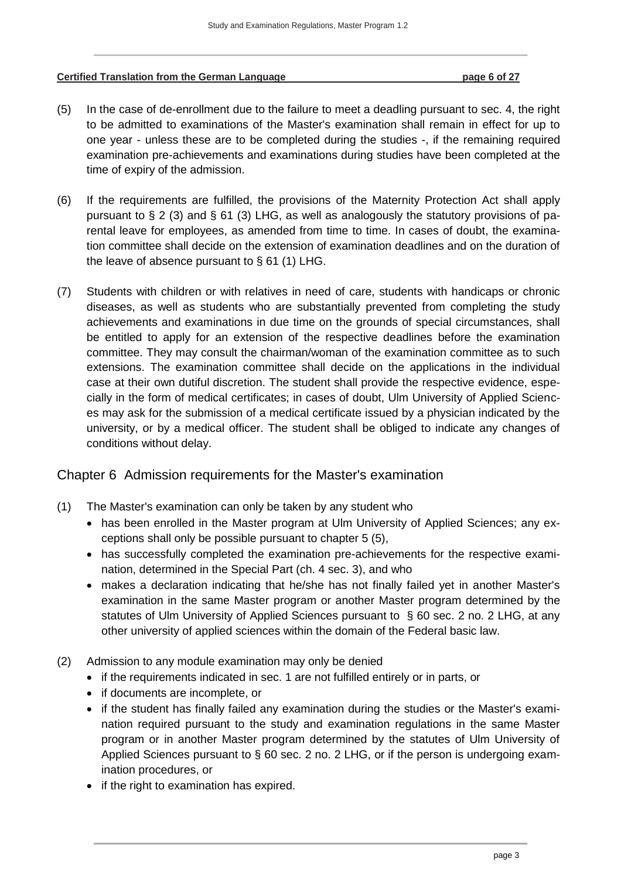#### **Certified Translation from the German Language page 6 of 27**

- (5) In the case of de-enrollment due to the failure to meet a deadling pursuant to sec. 4, the right to be admitted to examinations of the Master's examination shall remain in effect for up to one year - unless these are to be completed during the studies -, if the remaining required examination pre-achievements and examinations during studies have been completed at the time of expiry of the admission.
- (6) If the requirements are fulfilled, the provisions of the Maternity Protection Act shall apply pursuant to  $\S 2$  (3) and  $\S 61$  (3) LHG, as well as analogously the statutory provisions of parental leave for employees, as amended from time to time. In cases of doubt, the examination committee shall decide on the extension of examination deadlines and on the duration of the leave of absence pursuant to  $\S$  61 (1) LHG.
- (7) Students with children or with relatives in need of care, students with handicaps or chronic diseases, as well as students who are substantially prevented from completing the study achievements and examinations in due time on the grounds of special circumstances, shall be entitled to apply for an extension of the respective deadlines before the examination committee. They may consult the chairman/woman of the examination committee as to such extensions. The examination committee shall decide on the applications in the individual case at their own dutiful discretion. The student shall provide the respective evidence, especially in the form of medical certificates; in cases of doubt, Ulm University of Applied Sciences may ask for the submission of a medical certificate issued by a physician indicated by the university, or by a medical officer. The student shall be obliged to indicate any changes of conditions without delay.

### <span id="page-5-0"></span>Chapter 6 Admission requirements for the Master's examination

- (1) The Master's examination can only be taken by any student who
	- has been enrolled in the Master program at Ulm University of Applied Sciences; any exceptions shall only be possible pursuant to chapter 5 (5),
	- has successfully completed the examination pre-achievements for the respective examination, determined in the Special Part (ch. 4 sec. 3), and who
	- makes a declaration indicating that he/she has not finally failed yet in another Master's examination in the same Master program or another Master program determined by the statutes of Ulm University of Applied Sciences pursuant to § 60 sec. 2 no. 2 LHG, at any other university of applied sciences within the domain of the Federal basic law.
- (2) Admission to any module examination may only be denied
	- if the requirements indicated in sec. 1 are not fulfilled entirely or in parts, or
	- if documents are incomplete, or
	- if the student has finally failed any examination during the studies or the Master's examination required pursuant to the study and examination regulations in the same Master program or in another Master program determined by the statutes of Ulm University of Applied Sciences pursuant to § 60 sec. 2 no. 2 LHG, or if the person is undergoing examination procedures, or
	- if the right to examination has expired.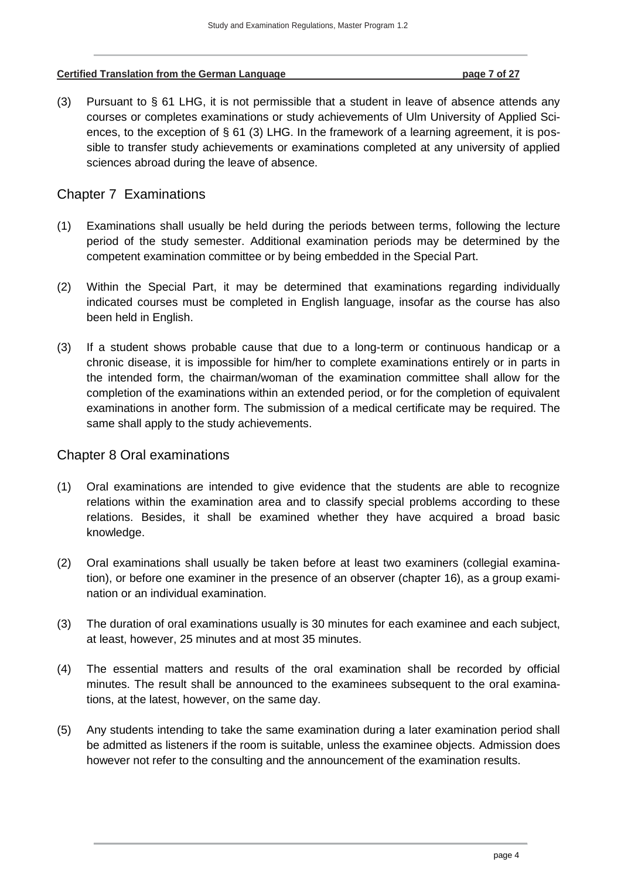#### **Certified Translation from the German Language page 7 of 27**

(3) Pursuant to § 61 LHG, it is not permissible that a student in leave of absence attends any courses or completes examinations or study achievements of Ulm University of Applied Sciences, to the exception of § 61 (3) LHG. In the framework of a learning agreement, it is possible to transfer study achievements or examinations completed at any university of applied sciences abroad during the leave of absence.

## <span id="page-6-0"></span>Chapter 7 Examinations

- (1) Examinations shall usually be held during the periods between terms, following the lecture period of the study semester. Additional examination periods may be determined by the competent examination committee or by being embedded in the Special Part.
- (2) Within the Special Part, it may be determined that examinations regarding individually indicated courses must be completed in English language, insofar as the course has also been held in English.
- (3) If a student shows probable cause that due to a long-term or continuous handicap or a chronic disease, it is impossible for him/her to complete examinations entirely or in parts in the intended form, the chairman/woman of the examination committee shall allow for the completion of the examinations within an extended period, or for the completion of equivalent examinations in another form. The submission of a medical certificate may be required. The same shall apply to the study achievements.

### <span id="page-6-1"></span>Chapter 8 Oral examinations

- (1) Oral examinations are intended to give evidence that the students are able to recognize relations within the examination area and to classify special problems according to these relations. Besides, it shall be examined whether they have acquired a broad basic knowledge.
- (2) Oral examinations shall usually be taken before at least two examiners (collegial examination), or before one examiner in the presence of an observer (chapter 16), as a group examination or an individual examination.
- (3) The duration of oral examinations usually is 30 minutes for each examinee and each subject, at least, however, 25 minutes and at most 35 minutes.
- (4) The essential matters and results of the oral examination shall be recorded by official minutes. The result shall be announced to the examinees subsequent to the oral examinations, at the latest, however, on the same day.
- (5) Any students intending to take the same examination during a later examination period shall be admitted as listeners if the room is suitable, unless the examinee objects. Admission does however not refer to the consulting and the announcement of the examination results.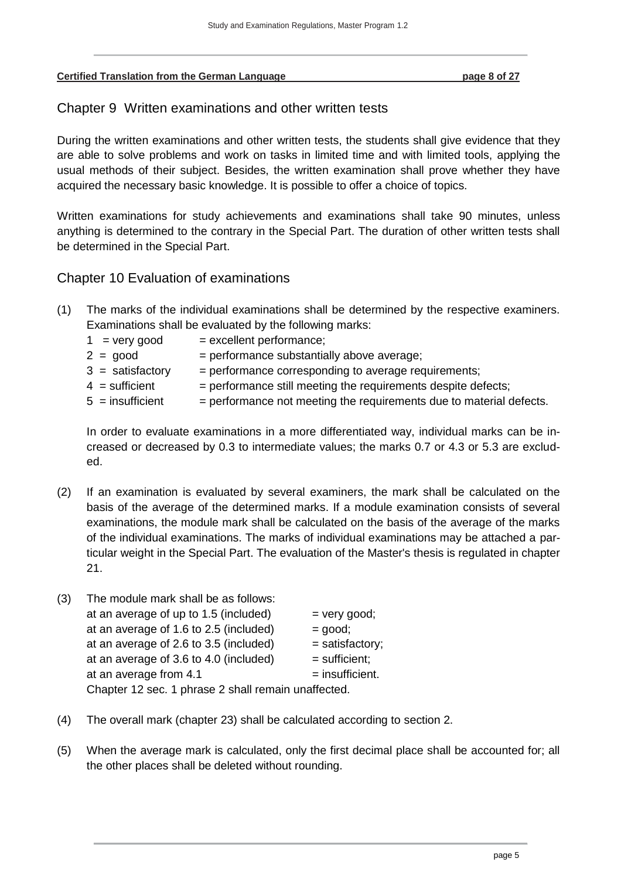#### <span id="page-7-0"></span>**Certified Translation from the German Language page 8 of 27**

## Chapter 9 Written examinations and other written tests

During the written examinations and other written tests, the students shall give evidence that they are able to solve problems and work on tasks in limited time and with limited tools, applying the usual methods of their subject. Besides, the written examination shall prove whether they have acquired the necessary basic knowledge. It is possible to offer a choice of topics.

Written examinations for study achievements and examinations shall take 90 minutes, unless anything is determined to the contrary in the Special Part. The duration of other written tests shall be determined in the Special Part.

## <span id="page-7-1"></span>Chapter 10 Evaluation of examinations

- (1) The marks of the individual examinations shall be determined by the respective examiners. Examinations shall be evaluated by the following marks:
	- $1 = \text{very good} = \text{excellent performance};$
	- $2 = good$  = performance substantially above average;
	- $3 =$  satisfactory  $=$  performance corresponding to average requirements;
	- $4 =$  sufficient  $=$  performance still meeting the requirements despite defects;
	- $5 =$  insufficient  $=$  performance not meeting the requirements due to material defects.

In order to evaluate examinations in a more differentiated way, individual marks can be increased or decreased by 0.3 to intermediate values; the marks 0.7 or 4.3 or 5.3 are excluded.

- (2) If an examination is evaluated by several examiners, the mark shall be calculated on the basis of the average of the determined marks. If a module examination consists of several examinations, the module mark shall be calculated on the basis of the average of the marks of the individual examinations. The marks of individual examinations may be attached a particular weight in the Special Part. The evaluation of the Master's thesis is regulated in chapter 21.
- (3) The module mark shall be as follows: at an average of up to 1.5 (included)  $=$  very good; at an average of 1.6 to 2.5 (included)  $=$  good; at an average of 2.6 to 3.5 (included)  $=$  satisfactory; at an average of 3.6 to 4.0 (included)  $=$  sufficient: at an average from  $4.1$  = insufficient. Chapter 12 sec. 1 phrase 2 shall remain unaffected.
- (4) The overall mark (chapter 23) shall be calculated according to section 2.
- (5) When the average mark is calculated, only the first decimal place shall be accounted for; all the other places shall be deleted without rounding.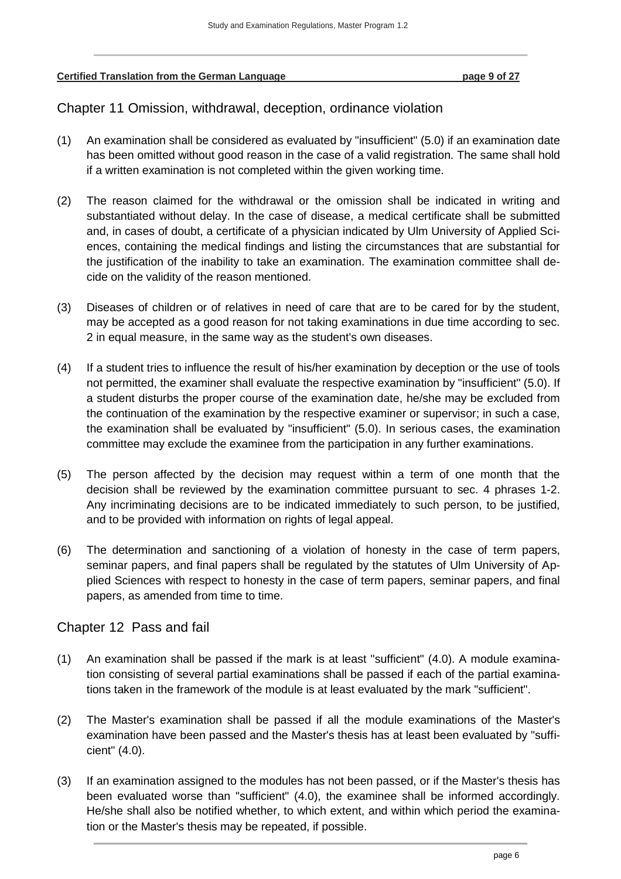<span id="page-8-0"></span>**Certified Translation from the German Language page 9 of 27**

Chapter 11 Omission, withdrawal, deception, ordinance violation

- (1) An examination shall be considered as evaluated by "insufficient" (5.0) if an examination date has been omitted without good reason in the case of a valid registration. The same shall hold if a written examination is not completed within the given working time.
- (2) The reason claimed for the withdrawal or the omission shall be indicated in writing and substantiated without delay. In the case of disease, a medical certificate shall be submitted and, in cases of doubt, a certificate of a physician indicated by Ulm University of Applied Sciences, containing the medical findings and listing the circumstances that are substantial for the justification of the inability to take an examination. The examination committee shall decide on the validity of the reason mentioned.
- (3) Diseases of children or of relatives in need of care that are to be cared for by the student, may be accepted as a good reason for not taking examinations in due time according to sec. 2 in equal measure, in the same way as the student's own diseases.
- (4) If a student tries to influence the result of his/her examination by deception or the use of tools not permitted, the examiner shall evaluate the respective examination by "insufficient" (5.0). If a student disturbs the proper course of the examination date, he/she may be excluded from the continuation of the examination by the respective examiner or supervisor; in such a case, the examination shall be evaluated by "insufficient" (5.0). In serious cases, the examination committee may exclude the examinee from the participation in any further examinations.
- (5) The person affected by the decision may request within a term of one month that the decision shall be reviewed by the examination committee pursuant to sec. 4 phrases 1-2. Any incriminating decisions are to be indicated immediately to such person, to be justified, and to be provided with information on rights of legal appeal.
- (6) The determination and sanctioning of a violation of honesty in the case of term papers, seminar papers, and final papers shall be regulated by the statutes of Ulm University of Applied Sciences with respect to honesty in the case of term papers, seminar papers, and final papers, as amended from time to time.

# <span id="page-8-1"></span>Chapter 12 Pass and fail

- (1) An examination shall be passed if the mark is at least "sufficient" (4.0). A module examination consisting of several partial examinations shall be passed if each of the partial examinations taken in the framework of the module is at least evaluated by the mark "sufficient".
- (2) The Master's examination shall be passed if all the module examinations of the Master's examination have been passed and the Master's thesis has at least been evaluated by "sufficient" (4.0).
- (3) If an examination assigned to the modules has not been passed, or if the Master's thesis has been evaluated worse than "sufficient" (4.0), the examinee shall be informed accordingly. He/she shall also be notified whether, to which extent, and within which period the examination or the Master's thesis may be repeated, if possible.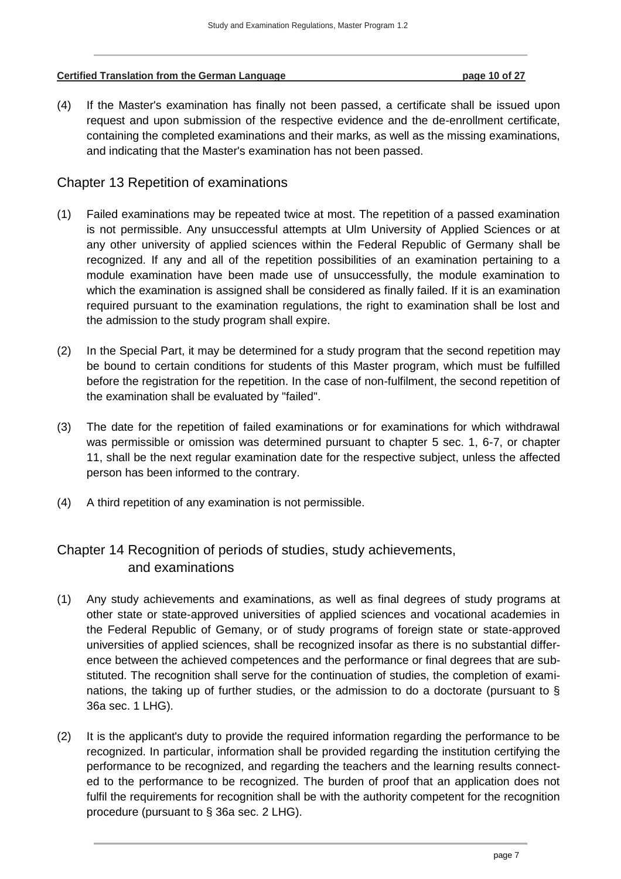# **Certified Translation from the German Language 10 of 27**

(4) If the Master's examination has finally not been passed, a certificate shall be issued upon request and upon submission of the respective evidence and the de-enrollment certificate, containing the completed examinations and their marks, as well as the missing examinations, and indicating that the Master's examination has not been passed.

# <span id="page-9-0"></span>Chapter 13 Repetition of examinations

- (1) Failed examinations may be repeated twice at most. The repetition of a passed examination is not permissible. Any unsuccessful attempts at Ulm University of Applied Sciences or at any other university of applied sciences within the Federal Republic of Germany shall be recognized. If any and all of the repetition possibilities of an examination pertaining to a module examination have been made use of unsuccessfully, the module examination to which the examination is assigned shall be considered as finally failed. If it is an examination required pursuant to the examination regulations, the right to examination shall be lost and the admission to the study program shall expire.
- (2) In the Special Part, it may be determined for a study program that the second repetition may be bound to certain conditions for students of this Master program, which must be fulfilled before the registration for the repetition. In the case of non-fulfilment, the second repetition of the examination shall be evaluated by "failed".
- (3) The date for the repetition of failed examinations or for examinations for which withdrawal was permissible or omission was determined pursuant to chapter 5 sec. 1, 6-7, or chapter 11, shall be the next regular examination date for the respective subject, unless the affected person has been informed to the contrary.
- (4) A third repetition of any examination is not permissible.

# <span id="page-9-1"></span>Chapter 14 Recognition of periods of studies, study achievements, and examinations

- (1) Any study achievements and examinations, as well as final degrees of study programs at other state or state-approved universities of applied sciences and vocational academies in the Federal Republic of Gemany, or of study programs of foreign state or state-approved universities of applied sciences, shall be recognized insofar as there is no substantial difference between the achieved competences and the performance or final degrees that are substituted. The recognition shall serve for the continuation of studies, the completion of examinations, the taking up of further studies, or the admission to do a doctorate (pursuant to § 36a sec. 1 LHG).
- (2) It is the applicant's duty to provide the required information regarding the performance to be recognized. In particular, information shall be provided regarding the institution certifying the performance to be recognized, and regarding the teachers and the learning results connected to the performance to be recognized. The burden of proof that an application does not fulfil the requirements for recognition shall be with the authority competent for the recognition procedure (pursuant to § 36a sec. 2 LHG).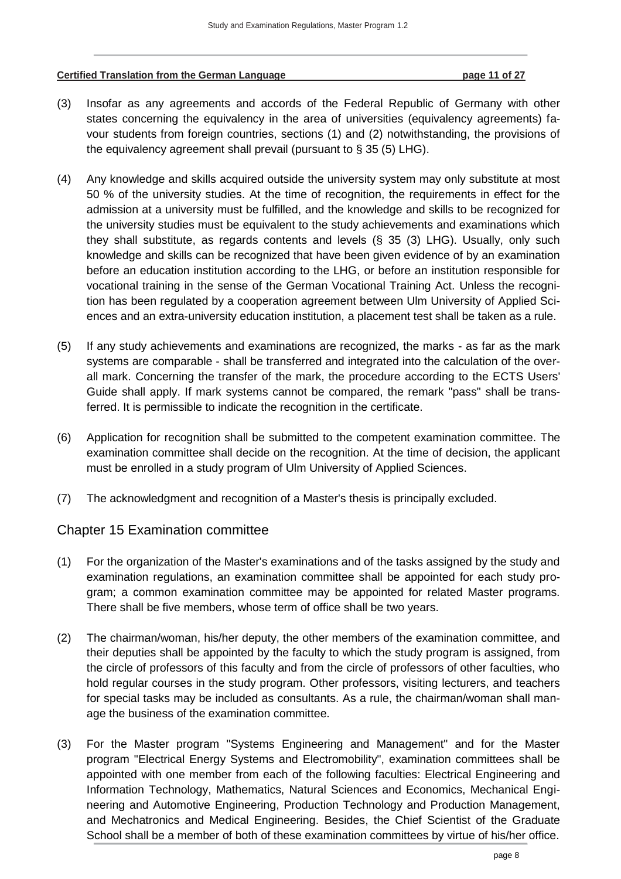#### **Certified Translation from the German Language page 11 of 27**

- (3) Insofar as any agreements and accords of the Federal Republic of Germany with other states concerning the equivalency in the area of universities (equivalency agreements) favour students from foreign countries, sections (1) and (2) notwithstanding, the provisions of the equivalency agreement shall prevail (pursuant to § 35 (5) LHG).
- (4) Any knowledge and skills acquired outside the university system may only substitute at most 50 % of the university studies. At the time of recognition, the requirements in effect for the admission at a university must be fulfilled, and the knowledge and skills to be recognized for the university studies must be equivalent to the study achievements and examinations which they shall substitute, as regards contents and levels (§ 35 (3) LHG). Usually, only such knowledge and skills can be recognized that have been given evidence of by an examination before an education institution according to the LHG, or before an institution responsible for vocational training in the sense of the German Vocational Training Act. Unless the recognition has been regulated by a cooperation agreement between Ulm University of Applied Sciences and an extra-university education institution, a placement test shall be taken as a rule.
- (5) If any study achievements and examinations are recognized, the marks as far as the mark systems are comparable - shall be transferred and integrated into the calculation of the overall mark. Concerning the transfer of the mark, the procedure according to the ECTS Users' Guide shall apply. If mark systems cannot be compared, the remark "pass" shall be transferred. It is permissible to indicate the recognition in the certificate.
- (6) Application for recognition shall be submitted to the competent examination committee. The examination committee shall decide on the recognition. At the time of decision, the applicant must be enrolled in a study program of Ulm University of Applied Sciences.
- (7) The acknowledgment and recognition of a Master's thesis is principally excluded.

### <span id="page-10-0"></span>Chapter 15 Examination committee

- (1) For the organization of the Master's examinations and of the tasks assigned by the study and examination regulations, an examination committee shall be appointed for each study program; a common examination committee may be appointed for related Master programs. There shall be five members, whose term of office shall be two years.
- (2) The chairman/woman, his/her deputy, the other members of the examination committee, and their deputies shall be appointed by the faculty to which the study program is assigned, from the circle of professors of this faculty and from the circle of professors of other faculties, who hold regular courses in the study program. Other professors, visiting lecturers, and teachers for special tasks may be included as consultants. As a rule, the chairman/woman shall manage the business of the examination committee.
- (3) For the Master program "Systems Engineering and Management" and for the Master program "Electrical Energy Systems and Electromobility", examination committees shall be appointed with one member from each of the following faculties: Electrical Engineering and Information Technology, Mathematics, Natural Sciences and Economics, Mechanical Engineering and Automotive Engineering, Production Technology and Production Management, and Mechatronics and Medical Engineering. Besides, the Chief Scientist of the Graduate School shall be a member of both of these examination committees by virtue of his/her office.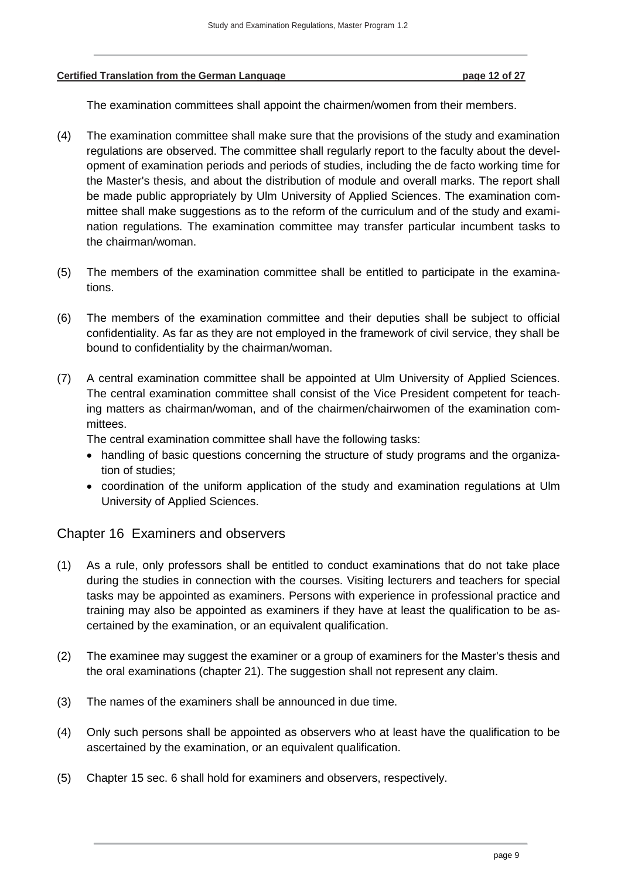#### **Certified Translation from the German Language page 12 of 27**

The examination committees shall appoint the chairmen/women from their members.

- (4) The examination committee shall make sure that the provisions of the study and examination regulations are observed. The committee shall regularly report to the faculty about the development of examination periods and periods of studies, including the de facto working time for the Master's thesis, and about the distribution of module and overall marks. The report shall be made public appropriately by Ulm University of Applied Sciences. The examination committee shall make suggestions as to the reform of the curriculum and of the study and examination regulations. The examination committee may transfer particular incumbent tasks to the chairman/woman.
- (5) The members of the examination committee shall be entitled to participate in the examinations.
- (6) The members of the examination committee and their deputies shall be subject to official confidentiality. As far as they are not employed in the framework of civil service, they shall be bound to confidentiality by the chairman/woman.
- (7) A central examination committee shall be appointed at Ulm University of Applied Sciences. The central examination committee shall consist of the Vice President competent for teaching matters as chairman/woman, and of the chairmen/chairwomen of the examination committees.

The central examination committee shall have the following tasks:

- handling of basic questions concerning the structure of study programs and the organization of studies;
- coordination of the uniform application of the study and examination regulations at Ulm University of Applied Sciences.

### <span id="page-11-0"></span>Chapter 16 Examiners and observers

- (1) As a rule, only professors shall be entitled to conduct examinations that do not take place during the studies in connection with the courses. Visiting lecturers and teachers for special tasks may be appointed as examiners. Persons with experience in professional practice and training may also be appointed as examiners if they have at least the qualification to be ascertained by the examination, or an equivalent qualification.
- (2) The examinee may suggest the examiner or a group of examiners for the Master's thesis and the oral examinations (chapter 21). The suggestion shall not represent any claim.
- (3) The names of the examiners shall be announced in due time.
- (4) Only such persons shall be appointed as observers who at least have the qualification to be ascertained by the examination, or an equivalent qualification.
- (5) Chapter 15 sec. 6 shall hold for examiners and observers, respectively.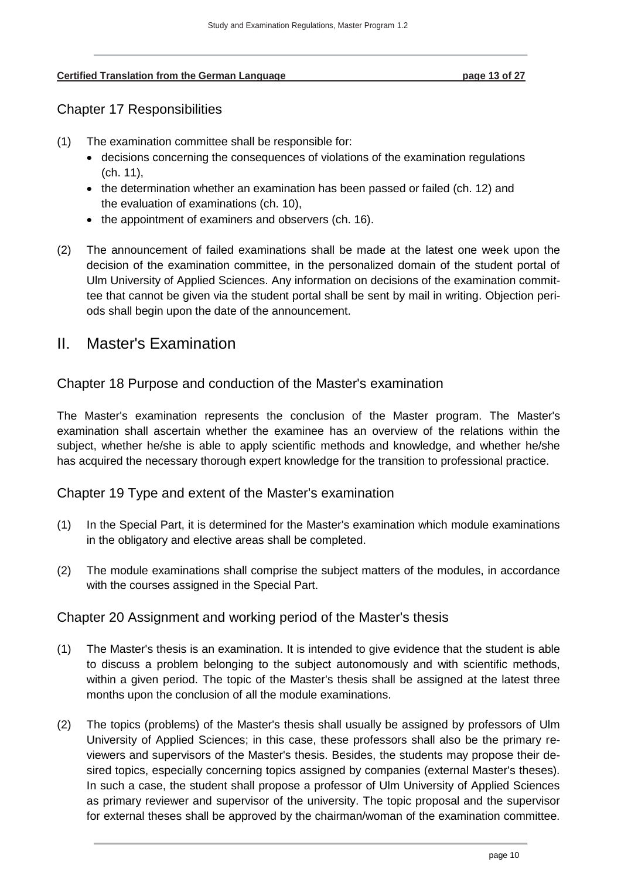#### <span id="page-12-0"></span>**Certified Translation from the German Language page 13 of 27**

# Chapter 17 Responsibilities

- (1) The examination committee shall be responsible for:
	- decisions concerning the consequences of violations of the examination regulations (ch. 11),
	- $\bullet$  the determination whether an examination has been passed or failed (ch. 12) and the evaluation of examinations (ch. 10),
	- the appointment of examiners and observers (ch. 16).
- (2) The announcement of failed examinations shall be made at the latest one week upon the decision of the examination committee, in the personalized domain of the student portal of Ulm University of Applied Sciences. Any information on decisions of the examination committee that cannot be given via the student portal shall be sent by mail in writing. Objection periods shall begin upon the date of the announcement.

# <span id="page-12-1"></span>II. Master's Examination

## <span id="page-12-2"></span>Chapter 18 Purpose and conduction of the Master's examination

The Master's examination represents the conclusion of the Master program. The Master's examination shall ascertain whether the examinee has an overview of the relations within the subject, whether he/she is able to apply scientific methods and knowledge, and whether he/she has acquired the necessary thorough expert knowledge for the transition to professional practice.

### <span id="page-12-3"></span>Chapter 19 Type and extent of the Master's examination

- (1) In the Special Part, it is determined for the Master's examination which module examinations in the obligatory and elective areas shall be completed.
- (2) The module examinations shall comprise the subject matters of the modules, in accordance with the courses assigned in the Special Part.

# <span id="page-12-4"></span>Chapter 20 Assignment and working period of the Master's thesis

- (1) The Master's thesis is an examination. It is intended to give evidence that the student is able to discuss a problem belonging to the subject autonomously and with scientific methods, within a given period. The topic of the Master's thesis shall be assigned at the latest three months upon the conclusion of all the module examinations.
- (2) The topics (problems) of the Master's thesis shall usually be assigned by professors of Ulm University of Applied Sciences; in this case, these professors shall also be the primary reviewers and supervisors of the Master's thesis. Besides, the students may propose their desired topics, especially concerning topics assigned by companies (external Master's theses). In such a case, the student shall propose a professor of Ulm University of Applied Sciences as primary reviewer and supervisor of the university. The topic proposal and the supervisor for external theses shall be approved by the chairman/woman of the examination committee.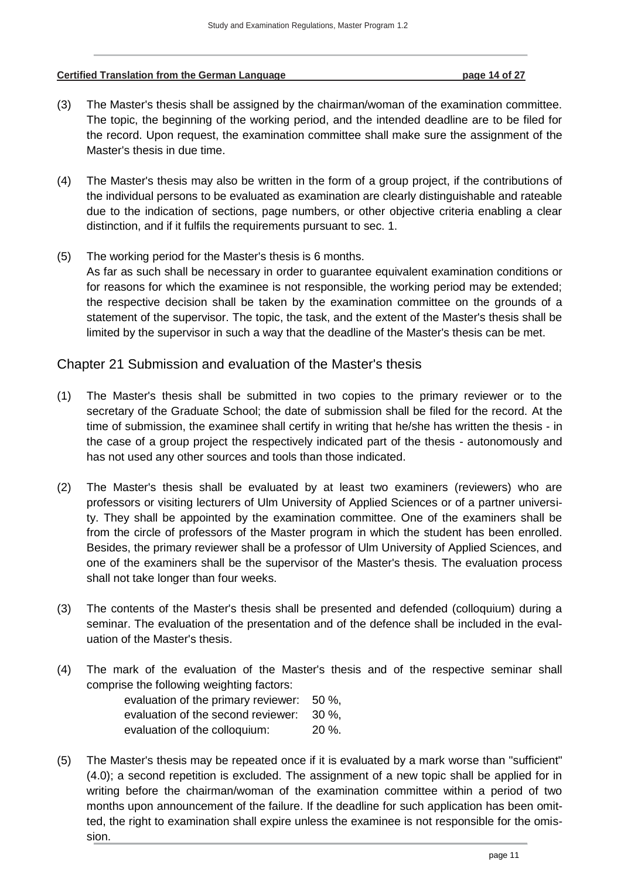#### **Certified Translation from the German Language page 14 of 27**

- (3) The Master's thesis shall be assigned by the chairman/woman of the examination committee. The topic, the beginning of the working period, and the intended deadline are to be filed for the record. Upon request, the examination committee shall make sure the assignment of the Master's thesis in due time.
- (4) The Master's thesis may also be written in the form of a group project, if the contributions of the individual persons to be evaluated as examination are clearly distinguishable and rateable due to the indication of sections, page numbers, or other objective criteria enabling a clear distinction, and if it fulfils the requirements pursuant to sec. 1.
- (5) The working period for the Master's thesis is 6 months. As far as such shall be necessary in order to guarantee equivalent examination conditions or for reasons for which the examinee is not responsible, the working period may be extended; the respective decision shall be taken by the examination committee on the grounds of a statement of the supervisor. The topic, the task, and the extent of the Master's thesis shall be limited by the supervisor in such a way that the deadline of the Master's thesis can be met.

### <span id="page-13-0"></span>Chapter 21 Submission and evaluation of the Master's thesis

- (1) The Master's thesis shall be submitted in two copies to the primary reviewer or to the secretary of the Graduate School; the date of submission shall be filed for the record. At the time of submission, the examinee shall certify in writing that he/she has written the thesis - in the case of a group project the respectively indicated part of the thesis - autonomously and has not used any other sources and tools than those indicated.
- (2) The Master's thesis shall be evaluated by at least two examiners (reviewers) who are professors or visiting lecturers of Ulm University of Applied Sciences or of a partner university. They shall be appointed by the examination committee. One of the examiners shall be from the circle of professors of the Master program in which the student has been enrolled. Besides, the primary reviewer shall be a professor of Ulm University of Applied Sciences, and one of the examiners shall be the supervisor of the Master's thesis. The evaluation process shall not take longer than four weeks.
- (3) The contents of the Master's thesis shall be presented and defended (colloquium) during a seminar. The evaluation of the presentation and of the defence shall be included in the evaluation of the Master's thesis.
- (4) The mark of the evaluation of the Master's thesis and of the respective seminar shall comprise the following weighting factors:

| evaluation of the primary reviewer: | $50 \%$  |
|-------------------------------------|----------|
| evaluation of the second reviewer:  | $30\%$   |
| evaluation of the colloquium:       | $20\%$ . |

(5) The Master's thesis may be repeated once if it is evaluated by a mark worse than "sufficient" (4.0); a second repetition is excluded. The assignment of a new topic shall be applied for in writing before the chairman/woman of the examination committee within a period of two months upon announcement of the failure. If the deadline for such application has been omitted, the right to examination shall expire unless the examinee is not responsible for the omission.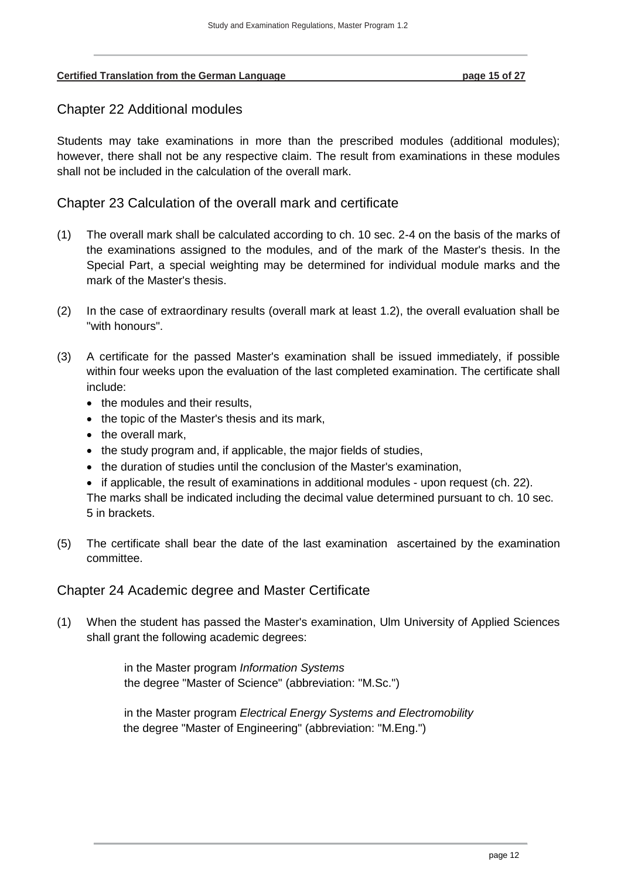#### <span id="page-14-0"></span>**Certified Translation from the German Language page 15 of 27**

### Chapter 22 Additional modules

Students may take examinations in more than the prescribed modules (additional modules); however, there shall not be any respective claim. The result from examinations in these modules shall not be included in the calculation of the overall mark.

<span id="page-14-1"></span>Chapter 23 Calculation of the overall mark and certificate

- (1) The overall mark shall be calculated according to ch. 10 sec. 2-4 on the basis of the marks of the examinations assigned to the modules, and of the mark of the Master's thesis. In the Special Part, a special weighting may be determined for individual module marks and the mark of the Master's thesis.
- (2) In the case of extraordinary results (overall mark at least 1.2), the overall evaluation shall be "with honours".
- (3) A certificate for the passed Master's examination shall be issued immediately, if possible within four weeks upon the evaluation of the last completed examination. The certificate shall include:
	- the modules and their results,
	- the topic of the Master's thesis and its mark,
	- the overall mark,
	- the study program and, if applicable, the major fields of studies,
	- the duration of studies until the conclusion of the Master's examination,

• if applicable, the result of examinations in additional modules - upon request (ch. 22). The marks shall be indicated including the decimal value determined pursuant to ch. 10 sec. 5 in brackets.

(5) The certificate shall bear the date of the last examination ascertained by the examination committee.

<span id="page-14-2"></span>Chapter 24 Academic degree and Master Certificate

(1) When the student has passed the Master's examination, Ulm University of Applied Sciences shall grant the following academic degrees:

> in the Master program *Information Systems* the degree "Master of Science" (abbreviation: "M.Sc.")

in the Master program *Electrical Energy Systems and Electromobility* the degree "Master of Engineering" (abbreviation: "M.Eng.")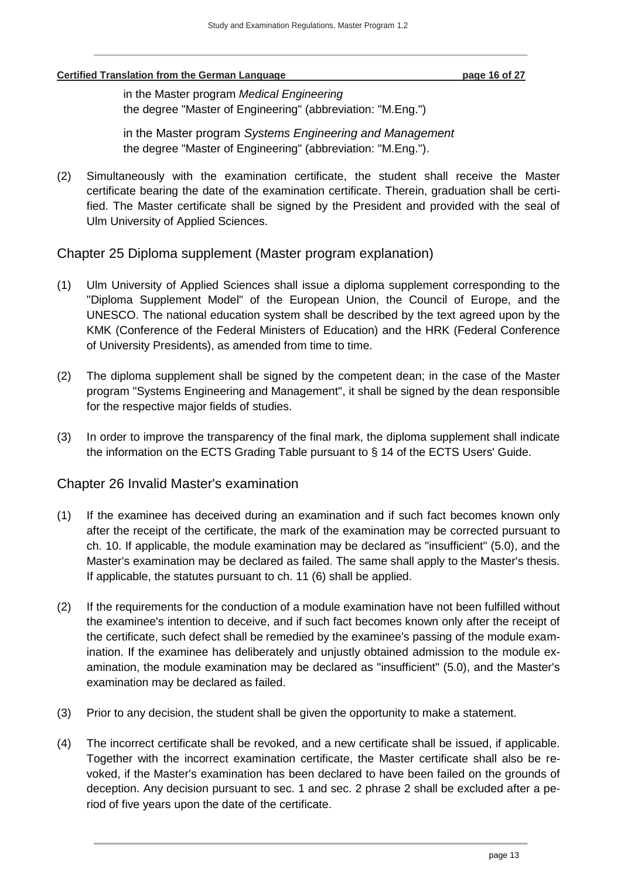#### **Certified Translation from the German Language page 16 of 27**

in the Master program *Medical Engineering* the degree "Master of Engineering" (abbreviation: "M.Eng.")

in the Master program *Systems Engineering and Management* the degree "Master of Engineering" (abbreviation: "M.Eng.").

(2) Simultaneously with the examination certificate, the student shall receive the Master certificate bearing the date of the examination certificate. Therein, graduation shall be certified. The Master certificate shall be signed by the President and provided with the seal of Ulm University of Applied Sciences.

## <span id="page-15-0"></span>Chapter 25 Diploma supplement (Master program explanation)

- (1) Ulm University of Applied Sciences shall issue a diploma supplement corresponding to the "Diploma Supplement Model" of the European Union, the Council of Europe, and the UNESCO. The national education system shall be described by the text agreed upon by the KMK (Conference of the Federal Ministers of Education) and the HRK (Federal Conference of University Presidents), as amended from time to time.
- (2) The diploma supplement shall be signed by the competent dean; in the case of the Master program "Systems Engineering and Management", it shall be signed by the dean responsible for the respective major fields of studies.
- (3) In order to improve the transparency of the final mark, the diploma supplement shall indicate the information on the ECTS Grading Table pursuant to § 14 of the ECTS Users' Guide.

### <span id="page-15-1"></span>Chapter 26 Invalid Master's examination

- (1) If the examinee has deceived during an examination and if such fact becomes known only after the receipt of the certificate, the mark of the examination may be corrected pursuant to ch. 10. If applicable, the module examination may be declared as "insufficient" (5.0), and the Master's examination may be declared as failed. The same shall apply to the Master's thesis. If applicable, the statutes pursuant to ch. 11 (6) shall be applied.
- (2) If the requirements for the conduction of a module examination have not been fulfilled without the examinee's intention to deceive, and if such fact becomes known only after the receipt of the certificate, such defect shall be remedied by the examinee's passing of the module examination. If the examinee has deliberately and unjustly obtained admission to the module examination, the module examination may be declared as "insufficient" (5.0), and the Master's examination may be declared as failed.
- (3) Prior to any decision, the student shall be given the opportunity to make a statement.
- (4) The incorrect certificate shall be revoked, and a new certificate shall be issued, if applicable. Together with the incorrect examination certificate, the Master certificate shall also be revoked, if the Master's examination has been declared to have been failed on the grounds of deception. Any decision pursuant to sec. 1 and sec. 2 phrase 2 shall be excluded after a period of five years upon the date of the certificate.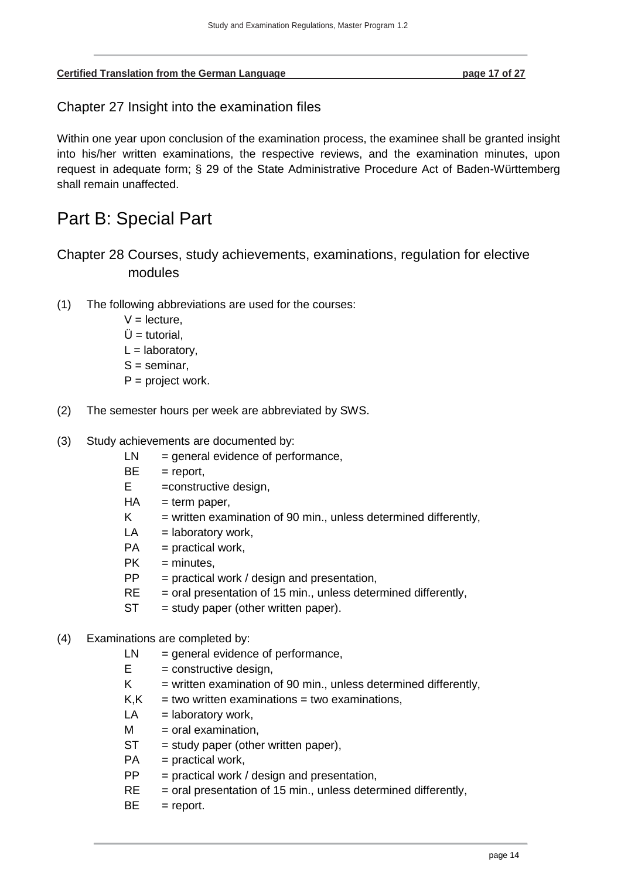<span id="page-16-0"></span>

| <b>Certified Translation from the German Language</b> | page 17 of 27 |
|-------------------------------------------------------|---------------|
|                                                       |               |

Chapter 27 Insight into the examination files

Within one year upon conclusion of the examination process, the examinee shall be granted insight into his/her written examinations, the respective reviews, and the examination minutes, upon request in adequate form; § 29 of the State Administrative Procedure Act of Baden-Württemberg shall remain unaffected.

# <span id="page-16-1"></span>Part B: Special Part

<span id="page-16-2"></span>Chapter 28 Courses, study achievements, examinations, regulation for elective modules

- (1) The following abbreviations are used for the courses:
	- $V =$  lecture,
	- $Ü =$ tutorial.
	- $L =$  laboratory,
	- $S =$  seminar,
	- $P = project work.$
- (2) The semester hours per week are abbreviated by SWS.
- (3) Study achievements are documented by:
	- $LN = general evidence of performance,$
	- $BE = report$ ,
	- $E$  =constructive design,
	- $HA$  = term paper,
	- $K =$  written examination of 90 min., unless determined differently,
	- $LA =$  laboratory work,
	- $PA = practical work,$
	- $PK =$  minutes.
	- $PP =$  practical work / design and presentation,
	- $RE =$  oral presentation of 15 min., unless determined differently,
	- $ST = study paper (other written paper).$
- (4) Examinations are completed by:
	- $LN = general evidence of performance,$
	- $E =$  constructive design,
	- $K =$  written examination of 90 min., unless determined differently,
	- $K$ ,  $K$  = two written examinations = two examinations,
	- $LA =$  laboratory work,
	- $M =$  oral examination,
	- $ST = study paper (other written paper),$
	- $PA = practical work$ ,
	- $PP =$  practical work / design and presentation,
	- $RE$  = oral presentation of 15 min., unless determined differently,
	- $BE = report.$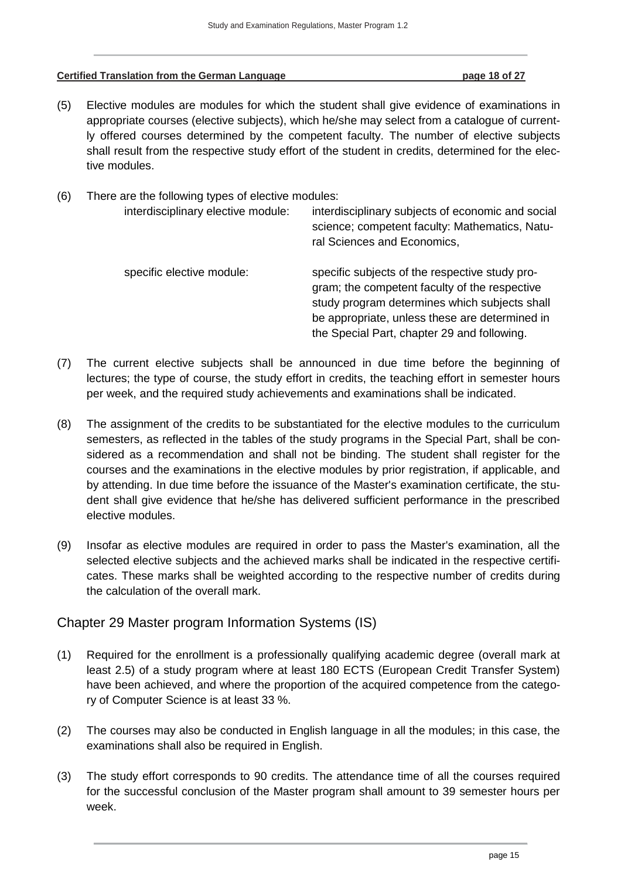|  | <b>Certified Translation from the German Language</b> | page 18 of 27 |
|--|-------------------------------------------------------|---------------|
|--|-------------------------------------------------------|---------------|

(5) Elective modules are modules for which the student shall give evidence of examinations in appropriate courses (elective subjects), which he/she may select from a catalogue of currently offered courses determined by the competent faculty. The number of elective subjects shall result from the respective study effort of the student in credits, determined for the elective modules.

| (6) | There are the following types of elective modules:<br>interdisciplinary elective module: | interdisciplinary subjects of economic and social<br>science; competent faculty: Mathematics, Natu-<br>ral Sciences and Economics,                                                                                                                |  |  |  |  |  |
|-----|------------------------------------------------------------------------------------------|---------------------------------------------------------------------------------------------------------------------------------------------------------------------------------------------------------------------------------------------------|--|--|--|--|--|
|     | specific elective module:                                                                | specific subjects of the respective study pro-<br>gram; the competent faculty of the respective<br>study program determines which subjects shall<br>be appropriate, unless these are determined in<br>the Special Part, chapter 29 and following. |  |  |  |  |  |

- (7) The current elective subjects shall be announced in due time before the beginning of lectures; the type of course, the study effort in credits, the teaching effort in semester hours per week, and the required study achievements and examinations shall be indicated.
- (8) The assignment of the credits to be substantiated for the elective modules to the curriculum semesters, as reflected in the tables of the study programs in the Special Part, shall be considered as a recommendation and shall not be binding. The student shall register for the courses and the examinations in the elective modules by prior registration, if applicable, and by attending. In due time before the issuance of the Master's examination certificate, the student shall give evidence that he/she has delivered sufficient performance in the prescribed elective modules.
- (9) Insofar as elective modules are required in order to pass the Master's examination, all the selected elective subjects and the achieved marks shall be indicated in the respective certificates. These marks shall be weighted according to the respective number of credits during the calculation of the overall mark.

### <span id="page-17-0"></span>Chapter 29 Master program Information Systems (IS)

- (1) Required for the enrollment is a professionally qualifying academic degree (overall mark at least 2.5) of a study program where at least 180 ECTS (European Credit Transfer System) have been achieved, and where the proportion of the acquired competence from the category of Computer Science is at least 33 %.
- (2) The courses may also be conducted in English language in all the modules; in this case, the examinations shall also be required in English.
- (3) The study effort corresponds to 90 credits. The attendance time of all the courses required for the successful conclusion of the Master program shall amount to 39 semester hours per week.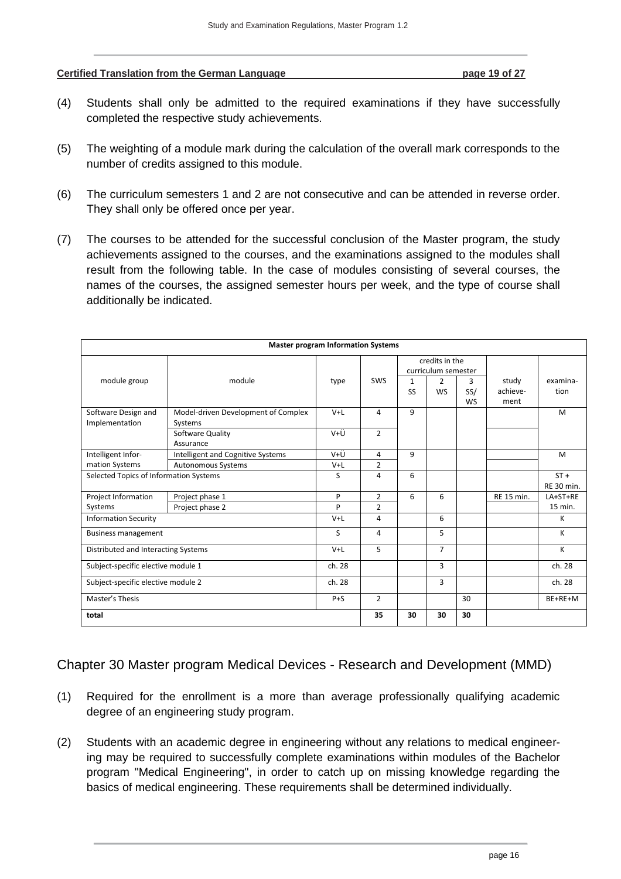**Certified Translation from the German Language <b>page 19 of 27 page 19 of 27** 

- (4) Students shall only be admitted to the required examinations if they have successfully completed the respective study achievements.
- (5) The weighting of a module mark during the calculation of the overall mark corresponds to the number of credits assigned to this module.
- (6) The curriculum semesters 1 and 2 are not consecutive and can be attended in reverse order. They shall only be offered once per year.
- (7) The courses to be attended for the successful conclusion of the Master program, the study achievements assigned to the courses, and the examinations assigned to the modules shall result from the following table. In the case of modules consisting of several courses, the names of the courses, the assigned semester hours per week, and the type of course shall additionally be indicated.

| <b>Master program Information Systems</b> |                                                |         |                |                |                                       |                       |                           |                      |
|-------------------------------------------|------------------------------------------------|---------|----------------|----------------|---------------------------------------|-----------------------|---------------------------|----------------------|
|                                           |                                                |         |                |                | credits in the<br>curriculum semester |                       |                           |                      |
| module group                              | module                                         | type    | SWS            | 1<br><b>SS</b> | 2<br><b>WS</b>                        | 3<br>SS/<br><b>WS</b> | study<br>achieve-<br>ment | examina-<br>tion     |
| Software Design and<br>Implementation     | Model-driven Development of Complex<br>Systems | $V+L$   | 4              | 9              |                                       |                       |                           | M                    |
|                                           | Software Quality<br>Assurance                  | V+Ü     | $\overline{2}$ |                |                                       |                       |                           |                      |
| Intelligent Infor-                        | Intelligent and Cognitive Systems              | V+Ü     | 4              | 9              |                                       |                       |                           | M                    |
| mation Systems                            | Autonomous Systems                             | $V+L$   | $\overline{2}$ |                |                                       |                       |                           |                      |
| Selected Topics of Information Systems    |                                                | S       | 4              | 6              |                                       |                       |                           | $ST +$<br>RE 30 min. |
| Project Information                       | Project phase 1                                | P       | $\overline{2}$ | 6              | 6                                     |                       | <b>RE 15 min.</b>         | LA+ST+RE             |
| Systems                                   | Project phase 2                                | P       | $\overline{2}$ |                |                                       |                       |                           | 15 min.              |
| <b>Information Security</b>               |                                                | $V+L$   | 4              |                | 6                                     |                       |                           | к                    |
| <b>Business management</b>                |                                                | S       | 4              |                | 5                                     |                       |                           | K                    |
| Distributed and Interacting Systems       |                                                | $V+L$   | 5              |                | $\overline{7}$                        |                       |                           | к                    |
| Subject-specific elective module 1        |                                                | ch. 28  |                |                | 3                                     |                       |                           | ch. 28               |
| Subject-specific elective module 2        |                                                | ch. 28  |                |                | 3                                     |                       |                           | ch. 28               |
| Master's Thesis                           |                                                | $P + S$ | $\overline{2}$ |                |                                       | 30                    |                           | BE+RE+M              |
| total                                     |                                                | 35      | 30             | 30             | 30                                    |                       |                           |                      |

<span id="page-18-0"></span>Chapter 30 Master program Medical Devices - Research and Development (MMD)

- (1) Required for the enrollment is a more than average professionally qualifying academic degree of an engineering study program.
- (2) Students with an academic degree in engineering without any relations to medical engineering may be required to successfully complete examinations within modules of the Bachelor program "Medical Engineering", in order to catch up on missing knowledge regarding the basics of medical engineering. These requirements shall be determined individually.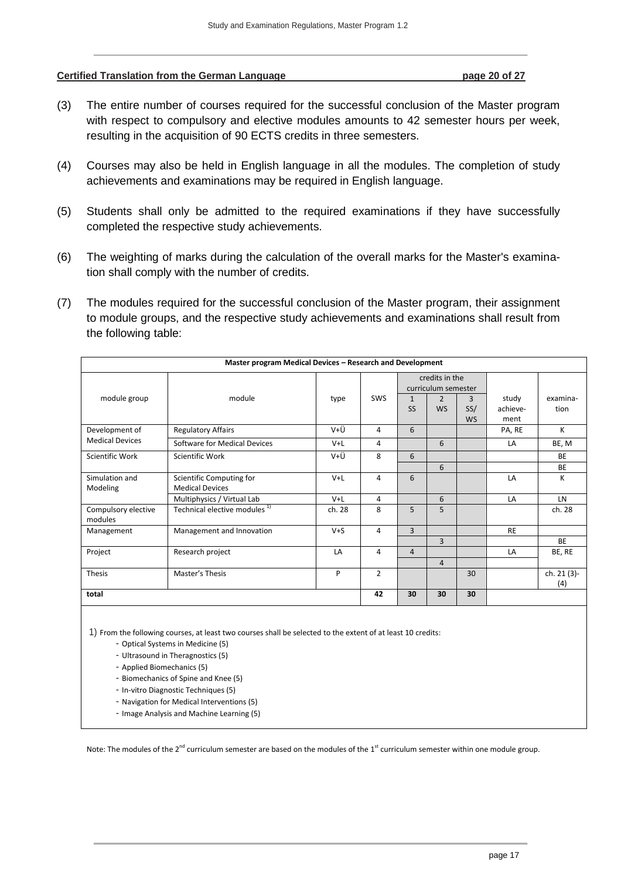#### **Certified Translation from the German Language page 20 of 27**

- (3) The entire number of courses required for the successful conclusion of the Master program with respect to compulsory and elective modules amounts to 42 semester hours per week, resulting in the acquisition of 90 ECTS credits in three semesters.
- (4) Courses may also be held in English language in all the modules. The completion of study achievements and examinations may be required in English language.
- (5) Students shall only be admitted to the required examinations if they have successfully completed the respective study achievements.
- (6) The weighting of marks during the calculation of the overall marks for the Master's examination shall comply with the number of credits.
- (7) The modules required for the successful conclusion of the Master program, their assignment to module groups, and the respective study achievements and examinations shall result from the following table:

|                                | Master program Medical Devices - Research and Development |         |                |                                       |                             |                       |                           |                    |
|--------------------------------|-----------------------------------------------------------|---------|----------------|---------------------------------------|-----------------------------|-----------------------|---------------------------|--------------------|
|                                |                                                           |         |                | credits in the<br>curriculum semester |                             |                       |                           |                    |
| module group                   | module                                                    | type    | <b>SWS</b>     | $\mathbf{1}$<br><b>SS</b>             | $\overline{2}$<br><b>WS</b> | 3<br>SS/<br><b>WS</b> | study<br>achieve-<br>ment | examina-<br>tion   |
| Development of                 | <b>Regulatory Affairs</b>                                 | V+Ü     | 4              | 6                                     |                             |                       | PA, RE                    | K                  |
| <b>Medical Devices</b>         | Software for Medical Devices                              | $V+L$   | 4              |                                       | 6                           |                       | LA                        | BE, M              |
| Scientific Work                | Scientific Work                                           | V+Ü     | 8              | 6                                     |                             |                       |                           | <b>BE</b>          |
|                                |                                                           |         |                |                                       | 6                           |                       |                           | <b>BE</b>          |
| Simulation and<br>Modeling     | Scientific Computing for<br><b>Medical Devices</b>        | $V+L$   | 4              | 6                                     |                             |                       | LA                        | K                  |
|                                | Multiphysics / Virtual Lab                                | $V+L$   | 4              |                                       | 6                           |                       | LA                        | LN                 |
| Compulsory elective<br>modules | Technical elective modules <sup>1)</sup>                  | ch. 28  | 8              | 5                                     | 5                           |                       |                           | ch. 28             |
| Management                     | Management and Innovation                                 | $V + S$ | 4              | 3                                     |                             |                       | <b>RE</b>                 |                    |
|                                |                                                           |         |                |                                       | 3                           |                       |                           | <b>BE</b>          |
| Project                        | Research project                                          | LA      | 4              | $\overline{4}$                        |                             |                       | LA                        | BE, RE             |
|                                |                                                           |         |                |                                       | $\overline{4}$              |                       |                           |                    |
| <b>Thesis</b>                  | Master's Thesis                                           | P       | $\overline{2}$ |                                       |                             | 30                    |                           | ch. 21 (3)-<br>(4) |
| total                          |                                                           |         | 42             | 30                                    | 30                          | 30                    |                           |                    |
|                                |                                                           |         |                |                                       |                             |                       |                           |                    |

1) From the following courses, at least two courses shall be selected to the extent of at least 10 credits:

- Optical Systems in Medicine (5)
- Ultrasound in Theragnostics (5)
- Applied Biomechanics (5)
- Biomechanics of Spine and Knee (5)
- In-vitro Diagnostic Techniques (5)
- Navigation for Medical Interventions (5)
- Image Analysis and Machine Learning (5)

Note: The modules of the  $2^{nd}$  curriculum semester are based on the modules of the  $1^{st}$  curriculum semester within one module group.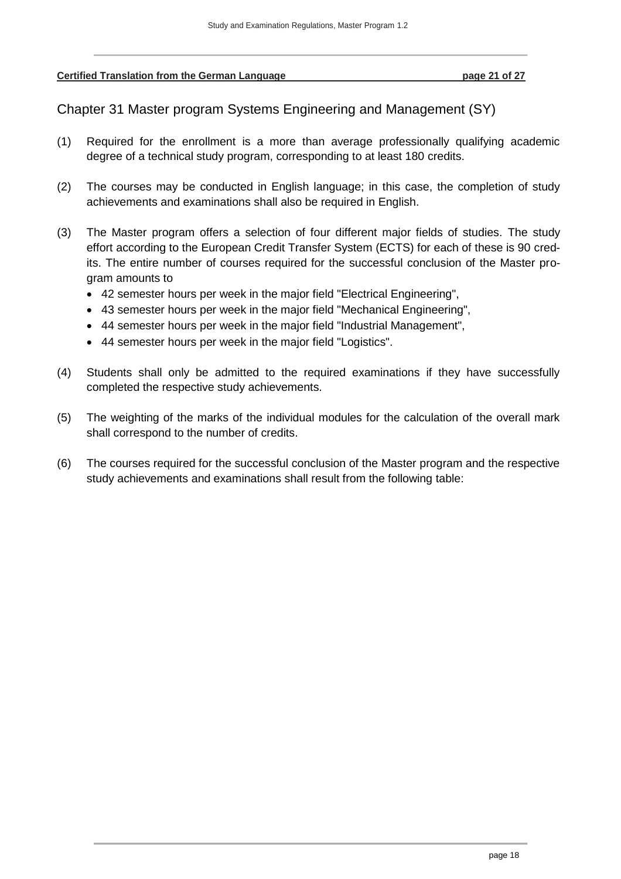<span id="page-20-0"></span>**Certified Translation from the German Language page 21 of 27**

Chapter 31 Master program Systems Engineering and Management (SY)

- (1) Required for the enrollment is a more than average professionally qualifying academic degree of a technical study program, corresponding to at least 180 credits.
- (2) The courses may be conducted in English language; in this case, the completion of study achievements and examinations shall also be required in English.
- (3) The Master program offers a selection of four different major fields of studies. The study effort according to the European Credit Transfer System (ECTS) for each of these is 90 credits. The entire number of courses required for the successful conclusion of the Master program amounts to
	- 42 semester hours per week in the major field "Electrical Engineering",
	- 43 semester hours per week in the major field "Mechanical Engineering",
	- 44 semester hours per week in the major field "Industrial Management",
	- 44 semester hours per week in the major field "Logistics".
- (4) Students shall only be admitted to the required examinations if they have successfully completed the respective study achievements.
- (5) The weighting of the marks of the individual modules for the calculation of the overall mark shall correspond to the number of credits.
- (6) The courses required for the successful conclusion of the Master program and the respective study achievements and examinations shall result from the following table: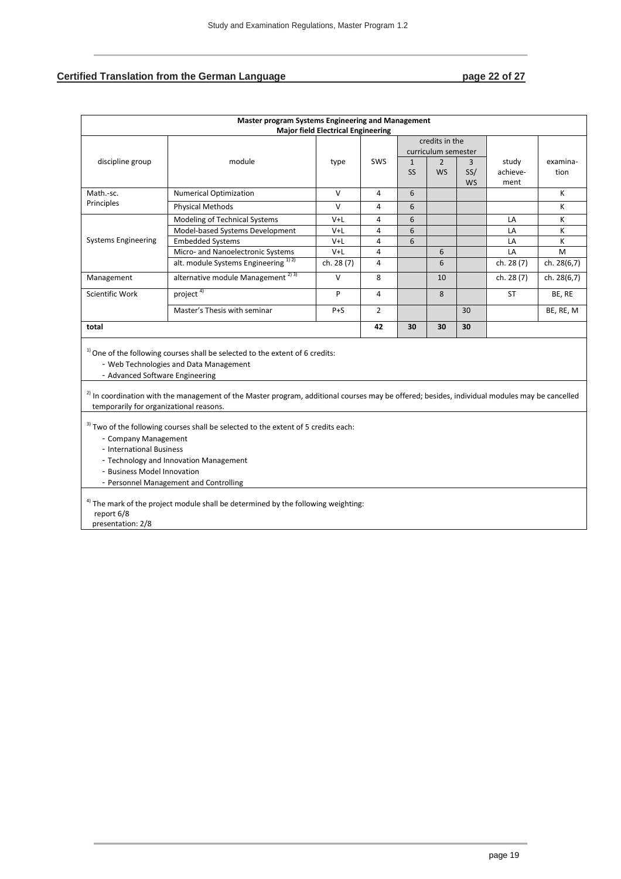# **Certified Translation from the German Language <b>page 22 of 27**

|                                                                                 | Master program Systems Engineering and Management                                                                                                                                                                                                                                                                                                                            | <b>Major field Electrical Engineering</b> |                |              |                                                         |                  |                  |             |
|---------------------------------------------------------------------------------|------------------------------------------------------------------------------------------------------------------------------------------------------------------------------------------------------------------------------------------------------------------------------------------------------------------------------------------------------------------------------|-------------------------------------------|----------------|--------------|---------------------------------------------------------|------------------|------------------|-------------|
| discipline group                                                                | module                                                                                                                                                                                                                                                                                                                                                                       | type                                      | <b>SWS</b>     | $\mathbf{1}$ | credits in the<br>curriculum semester<br>$\overline{2}$ | 3                | study            | examina-    |
|                                                                                 |                                                                                                                                                                                                                                                                                                                                                                              |                                           |                | <b>SS</b>    | <b>WS</b>                                               | SS/<br><b>WS</b> | achieve-<br>ment | tion        |
| Math.-sc.                                                                       | <b>Numerical Optimization</b>                                                                                                                                                                                                                                                                                                                                                | v                                         | 4              | 6            |                                                         |                  |                  | К           |
| Principles                                                                      | <b>Physical Methods</b>                                                                                                                                                                                                                                                                                                                                                      | $\vee$                                    | 4              | 6            |                                                         |                  |                  | К           |
|                                                                                 | Modeling of Technical Systems                                                                                                                                                                                                                                                                                                                                                | $V+L$                                     | 4              | 6            |                                                         |                  | LA               | К           |
|                                                                                 | Model-based Systems Development                                                                                                                                                                                                                                                                                                                                              | $V+L$                                     | 4              | 6            |                                                         |                  | LA               | К           |
| <b>Systems Engineering</b>                                                      | <b>Embedded Systems</b>                                                                                                                                                                                                                                                                                                                                                      | V+L                                       | 4              | 6            |                                                         |                  | LA               | К           |
|                                                                                 | Micro- and Nanoelectronic Systems                                                                                                                                                                                                                                                                                                                                            | $V+L$                                     | 4              |              | 6                                                       |                  | LA               | M           |
|                                                                                 | alt. module Systems Engineering <sup>1121</sup>                                                                                                                                                                                                                                                                                                                              | ch. 28 (7)                                | 4              |              | 6                                                       |                  | ch. 28 (7)       | ch. 28(6,7) |
| Management                                                                      | alternative module Management <sup>2) 3)</sup>                                                                                                                                                                                                                                                                                                                               | $\vee$                                    | 8              |              | 10                                                      |                  | ch. 28 (7)       | ch. 28(6,7) |
| <b>Scientific Work</b>                                                          | project <sup>4)</sup>                                                                                                                                                                                                                                                                                                                                                        | P                                         | 4              |              | 8                                                       |                  | <b>ST</b>        | BE, RE      |
|                                                                                 | Master's Thesis with seminar                                                                                                                                                                                                                                                                                                                                                 | $P + S$                                   | $\overline{2}$ |              |                                                         | 30               |                  | BE, RE, M   |
| total                                                                           |                                                                                                                                                                                                                                                                                                                                                                              |                                           | 42             | 30           | 30                                                      | 30               |                  |             |
|                                                                                 | <sup>1)</sup> One of the following courses shall be selected to the extent of 6 credits:<br>- Web Technologies and Data Management<br>- Advanced Software Engineering<br><sup>2)</sup> In coordination with the management of the Master program, additional courses may be offered; besides, individual modules may be cancelled<br>temporarily for organizational reasons. |                                           |                |              |                                                         |                  |                  |             |
| - Company Management<br>- International Business<br>- Business Model Innovation | <sup>3)</sup> Two of the following courses shall be selected to the extent of 5 credits each:<br>- Technology and Innovation Management<br>- Personnel Management and Controlling                                                                                                                                                                                            |                                           |                |              |                                                         |                  |                  |             |
| report 6/8<br>presentation: 2/8                                                 | <sup>4)</sup> The mark of the project module shall be determined by the following weighting:                                                                                                                                                                                                                                                                                 |                                           |                |              |                                                         |                  |                  |             |

presentation: 2/8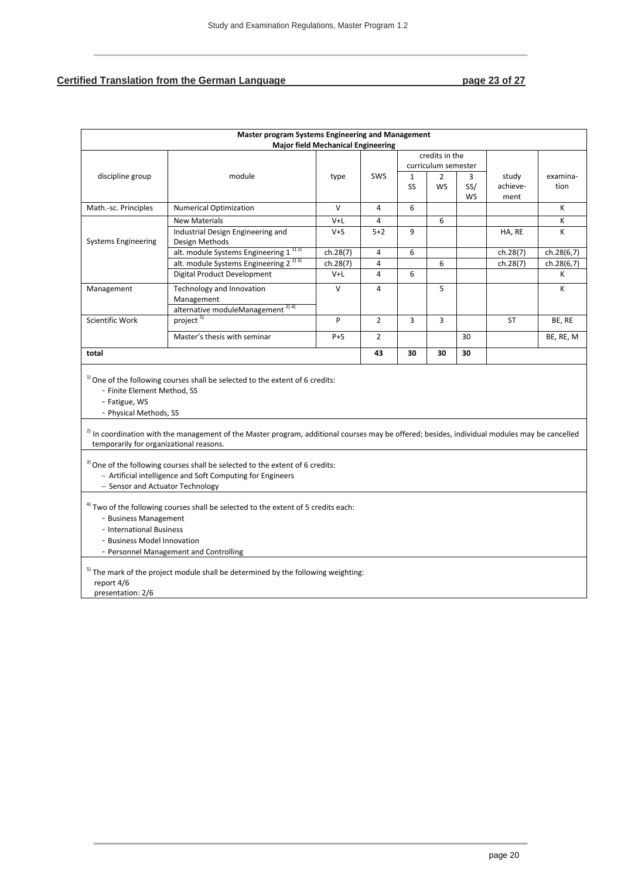#### **Certified Translation from the German Language <b>page 23 of 27** page 23 of 27

| Master program Systems Engineering and Management<br><b>Major field Mechanical Engineering</b>                                                                                                                                        |                                                                                                                                                                                                                                                |          |                |              |                     |     |           |            |
|---------------------------------------------------------------------------------------------------------------------------------------------------------------------------------------------------------------------------------------|------------------------------------------------------------------------------------------------------------------------------------------------------------------------------------------------------------------------------------------------|----------|----------------|--------------|---------------------|-----|-----------|------------|
|                                                                                                                                                                                                                                       |                                                                                                                                                                                                                                                |          |                |              | credits in the      |     |           |            |
|                                                                                                                                                                                                                                       |                                                                                                                                                                                                                                                |          |                |              | curriculum semester |     |           |            |
| discipline group                                                                                                                                                                                                                      | module                                                                                                                                                                                                                                         | type     | SWS            | $\mathbf{1}$ | $\overline{2}$      | 3   | study     | examina-   |
|                                                                                                                                                                                                                                       |                                                                                                                                                                                                                                                |          |                | SS           | WS                  | SS/ | achieve-  | tion       |
|                                                                                                                                                                                                                                       |                                                                                                                                                                                                                                                |          |                |              |                     | WS  | ment      |            |
| Math.-sc. Principles                                                                                                                                                                                                                  | <b>Numerical Optimization</b>                                                                                                                                                                                                                  | $\vee$   | 4              | 6            |                     |     |           | К          |
|                                                                                                                                                                                                                                       | <b>New Materials</b>                                                                                                                                                                                                                           | V+L      | 4              |              | 6                   |     |           | K          |
|                                                                                                                                                                                                                                       | Industrial Design Engineering and                                                                                                                                                                                                              | $V + S$  | $5 + 2$        | 9            |                     |     | HA, RE    | K          |
| <b>Systems Engineering</b>                                                                                                                                                                                                            | Design Methods                                                                                                                                                                                                                                 |          |                |              |                     |     |           |            |
|                                                                                                                                                                                                                                       | alt. module Systems Engineering 1 <sup>1)2)</sup>                                                                                                                                                                                              | ch.28(7) | $\overline{a}$ | 6            |                     |     | ch.28(7)  | ch.28(6,7) |
|                                                                                                                                                                                                                                       | alt. module Systems Engineering $2^{(2)3)}$                                                                                                                                                                                                    | ch.28(7) | 4              |              | 6                   |     | ch.28(7)  | ch.28(6,7) |
|                                                                                                                                                                                                                                       | Digital Product Development                                                                                                                                                                                                                    | $V+L$    | 4              | 6            |                     |     |           | К          |
| Management                                                                                                                                                                                                                            | Technology and Innovation                                                                                                                                                                                                                      | $\vee$   | $\overline{4}$ |              | 5                   |     |           | К          |
|                                                                                                                                                                                                                                       | Management                                                                                                                                                                                                                                     |          |                |              |                     |     |           |            |
|                                                                                                                                                                                                                                       | alternative moduleManagement <sup>2) 4)</sup>                                                                                                                                                                                                  |          |                |              |                     |     |           |            |
| <b>Scientific Work</b>                                                                                                                                                                                                                | project <sup>5)</sup>                                                                                                                                                                                                                          | P        | $\overline{2}$ | 3            | 3                   |     | <b>ST</b> | BE, RE     |
|                                                                                                                                                                                                                                       | Master's thesis with seminar                                                                                                                                                                                                                   | $P + S$  | $\overline{2}$ |              |                     | 30  |           | BE, RE, M  |
| total                                                                                                                                                                                                                                 |                                                                                                                                                                                                                                                |          |                | 30           | 30                  | 30  |           |            |
| - Finite Element Method, SS<br>- Fatigue, WS<br>- Physical Methods, SS                                                                                                                                                                | <sup>1)</sup> One of the following courses shall be selected to the extent of 6 credits:<br>$^{2)}$ In coordination with the management of the Master program, additional courses may be offered; besides, individual modules may be cancelled |          |                |              |                     |     |           |            |
| temporarily for organizational reasons.<br><sup>3)</sup> One of the following courses shall be selected to the extent of 6 credits:<br>- Artificial intelligence and Soft Computing for Engineers<br>- Sensor and Actuator Technology |                                                                                                                                                                                                                                                |          |                |              |                     |     |           |            |
| <sup>4)</sup> Two of the following courses shall be selected to the extent of 5 credits each:<br>- Business Management<br>- International Business<br>- Business Model Innovation<br>- Personnel Management and Controlling           |                                                                                                                                                                                                                                                |          |                |              |                     |     |           |            |
| report 4/6<br>presentation: 2/6                                                                                                                                                                                                       | <sup>5)</sup> The mark of the project module shall be determined by the following weighting:                                                                                                                                                   |          |                |              |                     |     |           |            |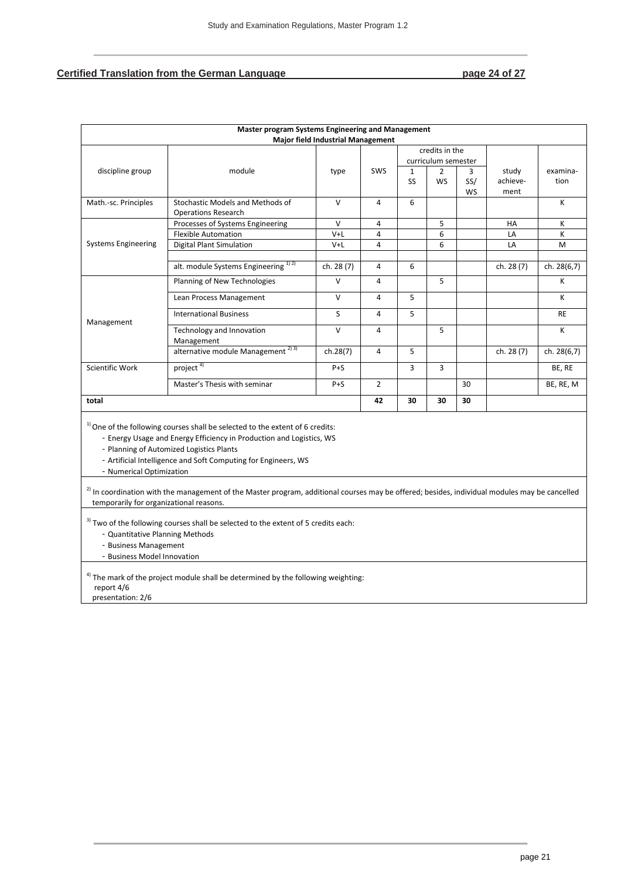## **Certified Translation from the German Language <br>
<b>page 24 of 27**

| Master program Systems Engineering and Management                                                                                                                                                                                                                                                                                                                                                                                                                      |                                                                                               |                                          |                         |              |                                       |     |            |             |
|------------------------------------------------------------------------------------------------------------------------------------------------------------------------------------------------------------------------------------------------------------------------------------------------------------------------------------------------------------------------------------------------------------------------------------------------------------------------|-----------------------------------------------------------------------------------------------|------------------------------------------|-------------------------|--------------|---------------------------------------|-----|------------|-------------|
|                                                                                                                                                                                                                                                                                                                                                                                                                                                                        |                                                                                               | <b>Major field Industrial Management</b> |                         |              |                                       |     |            |             |
|                                                                                                                                                                                                                                                                                                                                                                                                                                                                        |                                                                                               |                                          |                         |              | credits in the                        |     |            |             |
| discipline group                                                                                                                                                                                                                                                                                                                                                                                                                                                       | module                                                                                        |                                          | <b>SWS</b>              | $\mathbf{1}$ | curriculum semester<br>$\overline{2}$ | 3   | study      | examina-    |
|                                                                                                                                                                                                                                                                                                                                                                                                                                                                        |                                                                                               | type                                     |                         | SS           | <b>WS</b>                             | SS/ | achieve-   | tion        |
|                                                                                                                                                                                                                                                                                                                                                                                                                                                                        |                                                                                               |                                          |                         |              |                                       | WS  | ment       |             |
| Math.-sc. Principles                                                                                                                                                                                                                                                                                                                                                                                                                                                   | Stochastic Models and Methods of                                                              | $\vee$                                   | 4                       | 6            |                                       |     |            | K           |
|                                                                                                                                                                                                                                                                                                                                                                                                                                                                        | <b>Operations Research</b>                                                                    |                                          |                         |              |                                       |     |            |             |
|                                                                                                                                                                                                                                                                                                                                                                                                                                                                        | Processes of Systems Engineering                                                              | $\vee$                                   | 4                       |              | 5                                     |     | HA         | К           |
|                                                                                                                                                                                                                                                                                                                                                                                                                                                                        | <b>Flexible Automation</b>                                                                    | V+L                                      | 4                       |              | 6                                     |     | LA         | Κ           |
| <b>Systems Engineering</b>                                                                                                                                                                                                                                                                                                                                                                                                                                             | <b>Digital Plant Simulation</b>                                                               | $V+L$                                    | 4                       |              | 6                                     |     | LA         | M           |
|                                                                                                                                                                                                                                                                                                                                                                                                                                                                        |                                                                                               |                                          |                         |              |                                       |     |            |             |
|                                                                                                                                                                                                                                                                                                                                                                                                                                                                        | alt. module Systems Engineering <sup>1)2)</sup>                                               | ch. 28 (7)                               | 4                       | 6            |                                       |     | ch. 28 (7) | ch. 28(6,7) |
|                                                                                                                                                                                                                                                                                                                                                                                                                                                                        | Planning of New Technologies                                                                  | $\vee$                                   | $\overline{\mathbf{4}}$ |              | 5                                     |     |            | К           |
|                                                                                                                                                                                                                                                                                                                                                                                                                                                                        | Lean Process Management                                                                       | V                                        | 4                       | 5            |                                       |     |            | К           |
| Management                                                                                                                                                                                                                                                                                                                                                                                                                                                             | <b>International Business</b>                                                                 | S                                        | 4                       | 5            |                                       |     |            | <b>RE</b>   |
|                                                                                                                                                                                                                                                                                                                                                                                                                                                                        | Technology and Innovation<br>Management                                                       | $\vee$                                   | 4                       |              | 5                                     |     |            | Κ           |
|                                                                                                                                                                                                                                                                                                                                                                                                                                                                        | alternative module Management <sup>2)3)</sup>                                                 | ch.28(7)                                 | $\overline{4}$          | 5            |                                       |     | ch. 28 (7) | ch. 28(6,7) |
| <b>Scientific Work</b>                                                                                                                                                                                                                                                                                                                                                                                                                                                 | project <sup>4)</sup>                                                                         | $P + S$                                  |                         | 3            | 3                                     |     |            | BE, RE      |
|                                                                                                                                                                                                                                                                                                                                                                                                                                                                        | Master's Thesis with seminar                                                                  | $P + S$                                  | $\overline{2}$          |              |                                       | 30  |            | BE, RE, M   |
| total                                                                                                                                                                                                                                                                                                                                                                                                                                                                  |                                                                                               |                                          | 42                      | 30           | 30                                    | 30  |            |             |
| <sup>1)</sup> One of the following courses shall be selected to the extent of 6 credits:<br>- Energy Usage and Energy Efficiency in Production and Logistics, WS<br>- Planning of Automized Logistics Plants<br>- Artificial Intelligence and Soft Computing for Engineers, WS<br>- Numerical Optimization<br><sup>2)</sup> In coordination with the management of the Master program, additional courses may be offered; besides, individual modules may be cancelled |                                                                                               |                                          |                         |              |                                       |     |            |             |
| temporarily for organizational reasons.                                                                                                                                                                                                                                                                                                                                                                                                                                |                                                                                               |                                          |                         |              |                                       |     |            |             |
| - Quantitative Planning Methods<br>- Business Management<br>- Business Model Innovation                                                                                                                                                                                                                                                                                                                                                                                | <sup>3)</sup> Two of the following courses shall be selected to the extent of 5 credits each: |                                          |                         |              |                                       |     |            |             |
| report 4/6<br>presentation: 2/6                                                                                                                                                                                                                                                                                                                                                                                                                                        | <sup>4)</sup> The mark of the project module shall be determined by the following weighting:  |                                          |                         |              |                                       |     |            |             |

presentation: 2/6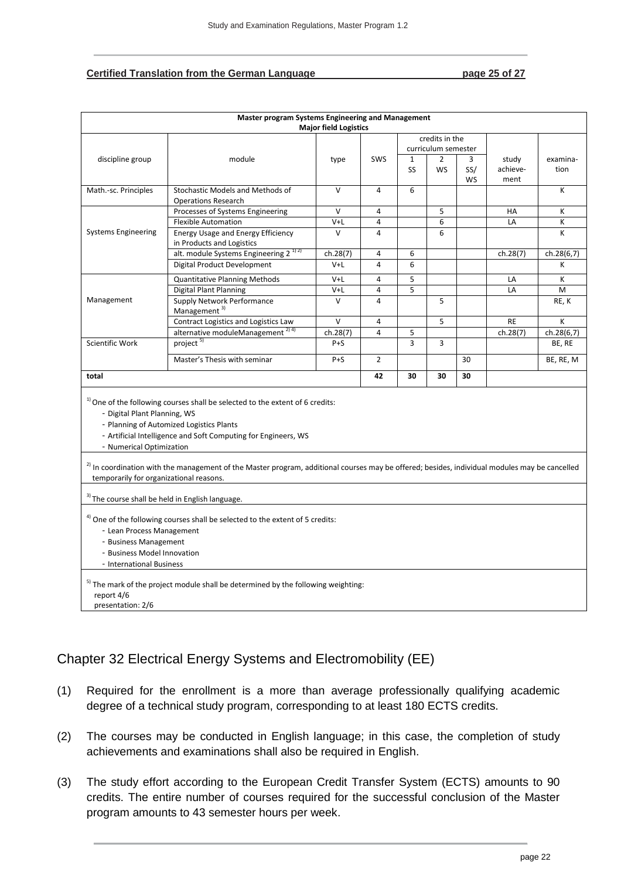#### **Certified Translation from the German Language page 25 of 27**

|                                                                                                               | Master program Systems Engineering and Management                                                                                                                                                                                                                                                                                                         | <b>Major field Logistics</b> |                |                                                                                                         |    |           |                   |                  |
|---------------------------------------------------------------------------------------------------------------|-----------------------------------------------------------------------------------------------------------------------------------------------------------------------------------------------------------------------------------------------------------------------------------------------------------------------------------------------------------|------------------------------|----------------|---------------------------------------------------------------------------------------------------------|----|-----------|-------------------|------------------|
| discipline group                                                                                              | module                                                                                                                                                                                                                                                                                                                                                    | type                         | SWS            | credits in the<br>curriculum semester<br>$\mathbf{1}$<br>$\overline{2}$<br>3<br>SS.<br><b>WS</b><br>SS/ |    |           | study<br>achieve- | examina-<br>tion |
|                                                                                                               |                                                                                                                                                                                                                                                                                                                                                           |                              |                |                                                                                                         |    | <b>WS</b> | ment              |                  |
| Math.-sc. Principles                                                                                          | Stochastic Models and Methods of<br><b>Operations Research</b>                                                                                                                                                                                                                                                                                            | $\vee$                       | $\overline{4}$ | 6                                                                                                       |    |           |                   | K                |
| <b>Systems Engineering</b>                                                                                    | Processes of Systems Engineering                                                                                                                                                                                                                                                                                                                          | $\vee$                       | $\overline{4}$ |                                                                                                         | 5  |           | HA                | К                |
|                                                                                                               | <b>Flexible Automation</b>                                                                                                                                                                                                                                                                                                                                | $V+L$                        | $\overline{4}$ |                                                                                                         | 6  |           | LA                | K                |
|                                                                                                               | <b>Energy Usage and Energy Efficiency</b><br>in Products and Logistics                                                                                                                                                                                                                                                                                    | $\vee$                       | 4              |                                                                                                         | 6  |           |                   | K                |
|                                                                                                               | alt. module Systems Engineering 2 <sup>1) 2)</sup>                                                                                                                                                                                                                                                                                                        | ch.28(7)                     | 4              | 6                                                                                                       |    |           | ch.28(7)          | ch.28(6,7)       |
|                                                                                                               | Digital Product Development                                                                                                                                                                                                                                                                                                                               | $V+L$                        | $\overline{4}$ | 6                                                                                                       |    |           |                   | К                |
|                                                                                                               | Quantitative Planning Methods                                                                                                                                                                                                                                                                                                                             | V+L                          | 4              | 5                                                                                                       |    |           | LA                | K                |
| Management                                                                                                    | <b>Digital Plant Planning</b>                                                                                                                                                                                                                                                                                                                             | $V+L$                        | $\overline{4}$ | $\overline{5}$                                                                                          |    |           | LA                | M                |
|                                                                                                               | <b>Supply Network Performance</b><br>Management <sup>3)</sup>                                                                                                                                                                                                                                                                                             | $\vee$                       | $\overline{4}$ |                                                                                                         | 5  |           |                   | RE, K            |
|                                                                                                               | Contract Logistics and Logistics Law                                                                                                                                                                                                                                                                                                                      | $\vee$                       | 4              |                                                                                                         | 5  |           | RE                | K                |
|                                                                                                               | alternative moduleManagement <sup>2) 4)</sup>                                                                                                                                                                                                                                                                                                             | ch.28(7)                     | 4              | 5                                                                                                       |    |           | ch.28(7)          | ch.28(6,7)       |
| <b>Scientific Work</b>                                                                                        | project <sup>5)</sup>                                                                                                                                                                                                                                                                                                                                     | $P + S$                      |                | 3                                                                                                       | 3  |           |                   | BE, RE           |
|                                                                                                               | Master's Thesis with seminar                                                                                                                                                                                                                                                                                                                              | $P + S$                      | $\overline{2}$ |                                                                                                         |    | 30        |                   | BE, RE, M        |
| total                                                                                                         |                                                                                                                                                                                                                                                                                                                                                           |                              |                | 30                                                                                                      | 30 | 30        |                   |                  |
| - Digital Plant Planning, WS<br>- Numerical Optimization<br>temporarily for organizational reasons.           | $1)$ One of the following courses shall be selected to the extent of 6 credits:<br>- Planning of Automized Logistics Plants<br>- Artificial Intelligence and Soft Computing for Engineers, WS<br><sup>2)</sup> In coordination with the management of the Master program, additional courses may be offered; besides, individual modules may be cancelled |                              |                |                                                                                                         |    |           |                   |                  |
| <sup>3)</sup> The course shall be held in English language.                                                   |                                                                                                                                                                                                                                                                                                                                                           |                              |                |                                                                                                         |    |           |                   |                  |
| - Lean Process Management<br>- Business Management<br>- Business Model Innovation<br>- International Business | <sup>4)</sup> One of the following courses shall be selected to the extent of 5 credits:                                                                                                                                                                                                                                                                  |                              |                |                                                                                                         |    |           |                   |                  |
| report 4/6<br>presentation: 2/6                                                                               | <sup>5)</sup> The mark of the project module shall be determined by the following weighting:                                                                                                                                                                                                                                                              |                              |                |                                                                                                         |    |           |                   |                  |

# <span id="page-24-0"></span>Chapter 32 Electrical Energy Systems and Electromobility (EE)

- (1) Required for the enrollment is a more than average professionally qualifying academic degree of a technical study program, corresponding to at least 180 ECTS credits.
- (2) The courses may be conducted in English language; in this case, the completion of study achievements and examinations shall also be required in English.
- (3) The study effort according to the European Credit Transfer System (ECTS) amounts to 90 credits. The entire number of courses required for the successful conclusion of the Master program amounts to 43 semester hours per week.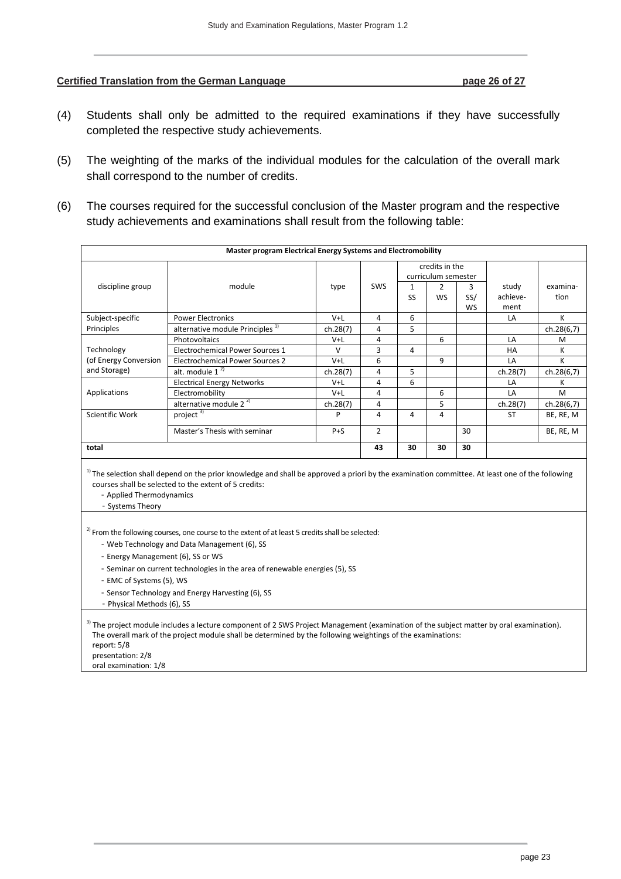#### **Certified Translation from the German Language <b>page 26 of 27** page 26 of 27

- (4) Students shall only be admitted to the required examinations if they have successfully completed the respective study achievements.
- (5) The weighting of the marks of the individual modules for the calculation of the overall mark shall correspond to the number of credits.
- (6) The courses required for the successful conclusion of the Master program and the respective study achievements and examinations shall result from the following table:

|                                                                                   | Master program Electrical Energy Systems and Electromobility                                                                                                                                                                                                                                                                                                                                                                                              |          |                |                     |                |     |           |            |
|-----------------------------------------------------------------------------------|-----------------------------------------------------------------------------------------------------------------------------------------------------------------------------------------------------------------------------------------------------------------------------------------------------------------------------------------------------------------------------------------------------------------------------------------------------------|----------|----------------|---------------------|----------------|-----|-----------|------------|
|                                                                                   |                                                                                                                                                                                                                                                                                                                                                                                                                                                           |          | credits in the |                     |                |     |           |            |
|                                                                                   |                                                                                                                                                                                                                                                                                                                                                                                                                                                           |          |                | curriculum semester |                |     |           |            |
| discipline group                                                                  | module                                                                                                                                                                                                                                                                                                                                                                                                                                                    | type     | SWS            | $\mathbf{1}$        | $\overline{2}$ | 3   | study     | examina-   |
|                                                                                   |                                                                                                                                                                                                                                                                                                                                                                                                                                                           |          |                | SS                  | <b>WS</b>      | SS/ | achieve-  | tion       |
|                                                                                   |                                                                                                                                                                                                                                                                                                                                                                                                                                                           |          |                |                     |                | WS  | ment      |            |
| Subject-specific                                                                  | <b>Power Electronics</b>                                                                                                                                                                                                                                                                                                                                                                                                                                  | V+L      | 4              | 6                   |                |     | LA        | К          |
| Principles                                                                        | alternative module Principles <sup>1)</sup>                                                                                                                                                                                                                                                                                                                                                                                                               | ch.28(7) | 4              | 5                   |                |     |           | ch.28(6,7) |
|                                                                                   | Photovoltaics                                                                                                                                                                                                                                                                                                                                                                                                                                             | V+L      | 4              |                     | 6              |     | LA        | M          |
| Technology<br>(of Energy Conversion<br>and Storage)                               | Electrochemical Power Sources 1                                                                                                                                                                                                                                                                                                                                                                                                                           | $\vee$   | 3              | 4                   |                |     | HA        | K          |
|                                                                                   | <b>Electrochemical Power Sources 2</b>                                                                                                                                                                                                                                                                                                                                                                                                                    | $V+L$    | 6              |                     | 9              |     | LA        | К          |
|                                                                                   | alt. module $1^{2}$                                                                                                                                                                                                                                                                                                                                                                                                                                       | ch.28(7) | 4              | 5                   |                |     | ch.28(7)  | ch.28(6,7) |
|                                                                                   | <b>Electrical Energy Networks</b>                                                                                                                                                                                                                                                                                                                                                                                                                         | V+L      | 4              | 6                   |                |     | LA        | к          |
| Applications                                                                      | Electromobility                                                                                                                                                                                                                                                                                                                                                                                                                                           | $V+L$    | 4              |                     | 6              |     | LA        | M          |
|                                                                                   | alternative module $2^{2}$                                                                                                                                                                                                                                                                                                                                                                                                                                | ch.28(7) | 4              |                     | 5              |     | ch.28(7)  | ch.28(6,7) |
| Scientific Work                                                                   | project $3)$                                                                                                                                                                                                                                                                                                                                                                                                                                              | P        | 4              | 4                   | 4              |     | <b>ST</b> | BE, RE, M  |
|                                                                                   | Master's Thesis with seminar                                                                                                                                                                                                                                                                                                                                                                                                                              | $P + S$  | $\overline{2}$ |                     |                | 30  |           | BE, RE, M  |
| total                                                                             |                                                                                                                                                                                                                                                                                                                                                                                                                                                           |          | 43             | 30                  | 30             | 30  |           |            |
| - Applied Thermodynamics<br>- Systems Theory<br>- Energy Management (6), SS or WS | $1$ ) The selection shall depend on the prior knowledge and shall be approved a priori by the examination committee. At least one of the following<br>courses shall be selected to the extent of 5 credits:<br><sup>2)</sup> From the following courses, one course to the extent of at least 5 credits shall be selected:<br>- Web Technology and Data Management (6), SS<br>- Seminar on current technologies in the area of renewable energies (5), SS |          |                |                     |                |     |           |            |
| - EMC of Systems (5), WS                                                          | - Sensor Technology and Energy Harvesting (6), SS                                                                                                                                                                                                                                                                                                                                                                                                         |          |                |                     |                |     |           |            |
| - Physical Methods (6), SS                                                        |                                                                                                                                                                                                                                                                                                                                                                                                                                                           |          |                |                     |                |     |           |            |
| report: 5/8<br>presentation: 2/8<br>oral examination: 1/8                         | <sup>3)</sup> The project module includes a lecture component of 2 SWS Project Management (examination of the subject matter by oral examination).<br>The overall mark of the project module shall be determined by the following weightings of the examinations:                                                                                                                                                                                         |          |                |                     |                |     |           |            |